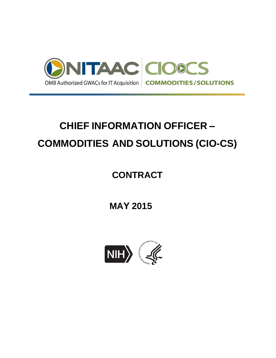

# **CHIEF INFORMATION OFFICER – COMMODITIES AND SOLUTIONS (CIO-CS)**

**CONTRACT** 

**MAY 2015** 

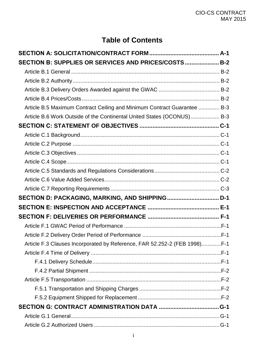# **Table of Contents**

| SECTION B: SUPPLIES OR SERVICES AND PRICES/COSTS  B-2                     |  |
|---------------------------------------------------------------------------|--|
|                                                                           |  |
|                                                                           |  |
|                                                                           |  |
|                                                                           |  |
| Article B.5 Maximum Contract Ceiling and Minimum Contract Guarantee  B-3  |  |
| Article B.6 Work Outside of the Continental United States (OCONUS) B-3    |  |
|                                                                           |  |
|                                                                           |  |
|                                                                           |  |
|                                                                           |  |
|                                                                           |  |
|                                                                           |  |
|                                                                           |  |
|                                                                           |  |
|                                                                           |  |
|                                                                           |  |
|                                                                           |  |
|                                                                           |  |
|                                                                           |  |
| Article F.3 Clauses Incorporated by Reference, FAR 52.252-2 (FEB 1998)F-1 |  |
|                                                                           |  |
|                                                                           |  |
|                                                                           |  |
|                                                                           |  |
|                                                                           |  |
|                                                                           |  |
|                                                                           |  |
|                                                                           |  |
|                                                                           |  |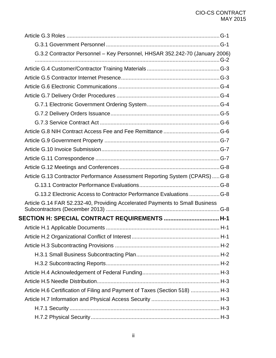| G.3.2 Contractor Personnel - Key Personnel, HHSAR 352.242-70 (January 2006)  |  |
|------------------------------------------------------------------------------|--|
|                                                                              |  |
|                                                                              |  |
|                                                                              |  |
|                                                                              |  |
|                                                                              |  |
|                                                                              |  |
|                                                                              |  |
|                                                                              |  |
|                                                                              |  |
|                                                                              |  |
|                                                                              |  |
|                                                                              |  |
|                                                                              |  |
| Article G.13 Contractor Performance Assessment Reporting System (CPARS)  G-8 |  |
|                                                                              |  |
| G.13.2 Electronic Access to Contractor Performance Evaluations G-8           |  |
| Article G.14 FAR 52.232-40, Providing Accelerated Payments to Small Business |  |
| SECTION H: SPECIAL CONTRACT REQUIREMENTS  H-1                                |  |
|                                                                              |  |
|                                                                              |  |
|                                                                              |  |
|                                                                              |  |
|                                                                              |  |
|                                                                              |  |
|                                                                              |  |
| Article H.6 Certification of Filing and Payment of Taxes (Section 518)  H-3  |  |
|                                                                              |  |
|                                                                              |  |
|                                                                              |  |
|                                                                              |  |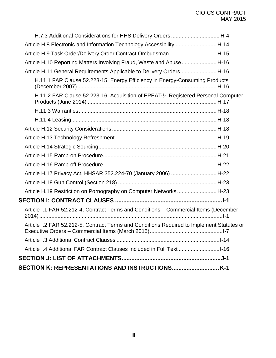| H.7.3 Additional Considerations for HHS Delivery Orders  H-4                              |  |
|-------------------------------------------------------------------------------------------|--|
| Article H.8 Electronic and Information Technology Accessibility  H-14                     |  |
| Article H.9 Task Order/Delivery Order Contract Ombudsman  H-15                            |  |
| Article H.10 Reporting Matters Involving Fraud, Waste and Abuse  H-16                     |  |
| Article H.11 General Requirements Applicable to Delivery Orders H-16                      |  |
| H.11.1 FAR Clause 52.223-15, Energy Efficiency in Energy-Consuming Products               |  |
| H.11.2 FAR Clause 52.223-16, Acquisition of EPEAT® -Registered Personal Computer          |  |
|                                                                                           |  |
|                                                                                           |  |
|                                                                                           |  |
|                                                                                           |  |
|                                                                                           |  |
|                                                                                           |  |
|                                                                                           |  |
| Article H.17 Privacy Act, HHSAR 352.224-70 (January 2006)  H-22                           |  |
|                                                                                           |  |
| Article H.19 Restriction on Pornography on Computer Networks H-23                         |  |
|                                                                                           |  |
| Article I.1 FAR 52.212-4, Contract Terms and Conditions - Commercial Items (December      |  |
| Article I.2 FAR 52.212-5, Contract Terms and Conditions Required to Implement Statutes or |  |
|                                                                                           |  |
| Article I.4 Additional FAR Contract Clauses Included in Full Text                         |  |
|                                                                                           |  |
| SECTION K: REPRESENTATIONS AND INSTRUCTIONS K-1                                           |  |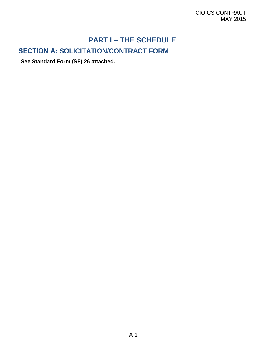CIO-CS CONTRACT MAY 2015

# <span id="page-4-0"></span>**PART I – THE SCHEDULE SECTION A: SOLICITATION/CONTRACT FORM**

**See Standard Form (SF) 26 attached.**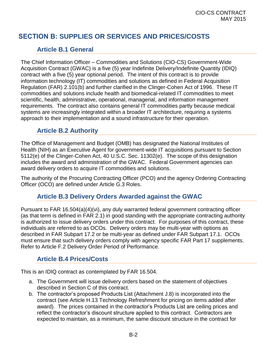# <span id="page-5-1"></span><span id="page-5-0"></span>**SECTION B: SUPPLIES OR SERVICES AND PRICES/COSTS**

# **Article B.1 General**

The Chief Information Officer – Commodities and Solutions (CIO-CS) Government-Wide Acquisition Contract (GWAC) is a five (5) year Indefinite Delivery/Indefinite Quantity (IDIQ) contract with a five (5) year optional period. The intent of this contract is to provide information technology (IT) commodities and solutions as defined in Federal Acquisition Regulation (FAR) 2.101(b) and further clarified in the Clinger-Cohen Act of 1996. These IT commodities and solutions include health and biomedical-related IT commodities to meet scientific, health, administrative, operational, managerial, and information management requirements. The contract also contains general IT commodities partly because medical systems are increasingly integrated within a broader IT architecture, requiring a systems approach to their implementation and a sound infrastructure for their operation.

# **Article B.2 Authority**

<span id="page-5-2"></span>The Office of Management and Budget (OMB) has designated the National Institutes of Health (NIH) as an Executive Agent for government-wide IT acquisitions pursuant to Section 5112(e) of the Clinger-Cohen Act, 40 U.S.C. Sec. 11302(e). The scope of this designation includes the award and administration of the GWAC. Federal Government agencies can award delivery orders to acquire IT commodities and solutions.

<span id="page-5-3"></span>The authority of the Procuring Contracting Officer (PCO) and the agency Ordering Contracting Officer (OCO) are defined under Article G.3 Roles.

# **Article B.3 Delivery Orders Awarded against the GWAC**

Pursuant to FAR 16.504(a)(4)(vi), any duly warranted federal government contracting officer (as that term is defined in FAR 2.1) in good standing with the appropriate contracting authority is authorized to issue delivery orders under this contract. For purposes of this contract, these individuals are referred to as OCOs. Delivery orders may be multi-year with options as described in FAR Subpart 17.2 or be multi-year as defined under FAR Subpart 17.1. OCOs must ensure that such delivery orders comply with agency specific FAR Part 17 supplements. Refer to Article F.2 Delivery Order Period of Performance.

# **Article B.4 Prices/Costs**

<span id="page-5-4"></span>This is an IDIQ contract as contemplated by FAR 16.504.

- a. The Government will issue delivery orders based on the statement of objectives described in Section C of this contract.
- b. The contractor's proposed Products List (Attachment J.8) is incorporated into the contract (see Article H.13 Technology Refreshment for pricing on items added after award). The prices contained in the contractor's Products List are ceiling prices and reflect the contractor's discount structure applied to this contract. Contractors are expected to maintain, as a minimum, the same discount structure in the contract for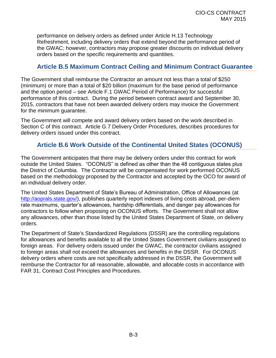performance on delivery orders as defined under Article H.13 Technology Refreshment, including delivery orders that extend beyond the performance period of the GWAC; however, contractors may propose greater discounts on individual delivery orders based on the specific requirements and quantities.

# **Article B.5 Maximum Contract Ceiling and Minimum Contract Guarantee**

<span id="page-6-0"></span>The Government shall reimburse the Contractor an amount not less than a total of \$250 (minimum) or more than a total of \$20 billion (maximum for the base period of performance and the option period – see Article F.1 GWAC Period of Performance) for successful performance of this contract. During the period between contract award and September 30, 2015, contractors that have not been awarded delivery orders may invoice the Government for the minimum guarantee.

<span id="page-6-1"></span>The Government will compete and award delivery orders based on the work described in Section C of this contract. Article G.7 Delivery Order Procedures, describes procedures for delivery orders issued under this contract.

# **Article B.6 Work Outside of the Continental United States (OCONUS)**

The Government anticipates that there may be delivery orders under this contract for work outside the United States. "OCONUS" is defined as other than the 48 contiguous states plus the District of Columbia. The Contractor will be compensated for work performed OCONUS based on the methodology proposed by the Contractor and accepted by the OCO for award of an individual delivery order.

The United States Department of State's Bureau of Administration, Office of Allowances (at [http://aoprals.state.gov/\)](http://aoprals.state.gov/), publishes quarterly report indexes of living costs abroad, per-diem rate maximums, quarter's allowances, hardship differentials, and danger pay allowances for contractors to follow when proposing on OCONUS efforts. The Government shall not allow any allowances, other than those listed by the United States Department of State, on delivery orders.

The Department of State's Standardized Regulations (DSSR) are the controlling regulations for allowances and benefits available to all the United States Government civilians assigned to foreign areas. For delivery orders issued under the GWAC, the contractor civilians assigned to foreign areas shall not exceed the allowances and benefits in the DSSR. For OCONUS delivery orders where costs are not specifically addressed in the DSSR, the Government will reimburse the Contractor for all reasonable, allowable, and allocable costs in accordance with FAR 31, Contract Cost Principles and Procedures.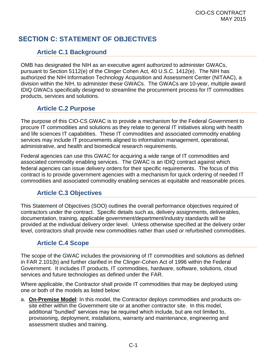# <span id="page-7-1"></span><span id="page-7-0"></span>**SECTION C: STATEMENT OF OBJECTIVES**

# **Article C.1 Background**

OMB has designated the NIH as an executive agent authorized to administer GWACs, pursuant to Section 5112(e) of the Clinger Cohen Act, 40 U.S.C. 1412(e). The NIH has authorized the NIH Information Technology Acquisition and Assessment Center (NITAAC), a division within the NIH, to administer these GWACs. The GWACs are 10-year, multiple award IDIQ GWACs specifically designed to streamline the procurement process for IT commodities products, services and solutions.

# **Article C.2 Purpose**

<span id="page-7-2"></span>The purpose of this CIO-CS GWAC is to provide a mechanism for the Federal Government to procure IT commodities and solutions as they relate to general IT initiatives along with health and life sciences IT capabilities. These IT commodities and associated commodity enabling services may include IT procurements aligned to information management, operational, administrative, and health and biomedical research requirements.

Federal agencies can use this GWAC for acquiring a wide range of IT commodities and associated commodity enabling services. The GWAC is an IDIQ contract against which federal agencies can issue delivery orders for their specific requirements. The focus of this contract is to provide government agencies with a mechanism for quick ordering of needed IT commodities and associated commodity enabling services at equitable and reasonable prices.

# **Article C.3 Objectives**

<span id="page-7-3"></span>This Statement of Objectives (SOO) outlines the overall performance objectives required of contractors under the contract. Specific details such as, delivery assignments, deliverables, documentation, training, applicable government/department/industry standards will be provided at the individual delivery order level. Unless otherwise specified at the delivery order level, contractors shall provide new commodities rather than used or refurbished commodities.

# **Article C.4 Scope**

<span id="page-7-4"></span>The scope of the GWAC includes the provisioning of IT commodities and solutions as defined in FAR 2.101(b) and further clarified in the Clinger-Cohen Act of 1996 within the Federal Government. It includes IT products, IT commodities, hardware, software, solutions, cloud services and future technologies as defined under the FAR.

Where applicable, the Contractor shall provide IT commodities that may be deployed using one or both of the models as listed below:

a. **On-Premise Model**: In this model, the Contractor deploys commodities and products onsite either within the Government site or at another contractor site. In this model, additional "bundled" services may be required which include, but are not limited to, provisioning, deployment, installations, warranty and maintenance, engineering and assessment studies and training.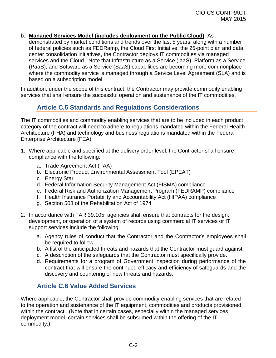#### b. **Managed Services Model (includes deployment on the Public Cloud)**: As

demonstrated by market conditions and trends over the last 5 years, along with a number of federal policies such as FEDRamp, the Cloud First Initiative, the 25-point plan and data center consolidation initiatives, the Contractor deploys IT commodities via managed services and the Cloud. Note that Infrastructure as a Service (IaaS), Platform as a Service (PaaS), and Software as a Service (SaaS) capabilities are becoming more commonplace where the commodity service is managed through a Service Level Agreement (SLA) and is based on a subscription model.

<span id="page-8-0"></span>In addition, under the scope of this contract, the Contractor may provide commodity enabling services that shall ensure the successful operation and sustenance of the IT commodities.

# **Article C.5 Standards and Regulations Considerations**

The IT commodities and commodity enabling services that are to be included in each product category of the contract will need to adhere to regulations mandated within the Federal Health Architecture (FHA) and technology and business regulations mandated within the Federal Enterprise Architecture (FEA).

- 1. Where applicable and specified at the delivery order level, the Contractor shall ensure compliance with the following:
	- a. Trade Agreement Act (TAA)
	- b. Electronic Product Environmental Assessment Tool (EPEAT)
	- c. Energy Star
	- d. Federal Information Security Management Act (FISMA) compliance
	- e. Federal Risk and Authorization Management Program (FEDRAMP) compliance
	- f. Health Insurance Portability and Accountability Act (HIPAA) compliance
	- g. Section 508 of the Rehabilitation Act of 1974
- 2. In accordance with FAR 39.105, agencies shall ensure that contracts for the design, development, or operation of a system of records using commercial IT services or IT support services include the following:
	- a. Agency rules of conduct that the Contractor and the Contractor's employees shall be required to follow.
	- b. A list of the anticipated threats and hazards that the Contractor must guard against.
	- c. A description of the safeguards that the Contractor must specifically provide.
	- d. Requirements for a program of Government inspection during performance of the contract that will ensure the continued efficacy and efficiency of safeguards and the discovery and countering of new threats and hazards.

# **Article C.6 Value Added Services**

<span id="page-8-1"></span>Where applicable, the Contractor shall provide commodity-enabling services that are related to the operation and sustenance of the IT equipment, commodities and products provisioned within the contract. (Note that in certain cases, especially within the managed services deployment model, certain services shall be subsumed within the offering of the IT commodity.)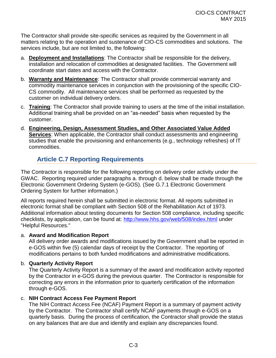The Contractor shall provide site-specific services as required by the Government in all matters relating to the operation and sustenance of CIO-CS commodities and solutions. The services include, but are not limited to, the following:

- a. **Deployment and Installations**: The Contractor shall be responsible for the delivery, installation and relocation of commodities at designated facilities. The Government will coordinate start dates and access with the Contractor.
- b. **Warranty and Maintenance**: The Contractor shall provide commercial warranty and commodity maintenance services in conjunction with the provisioning of the specific CIO-CS commodity. All maintenance services shall be performed as requested by the customer on individual delivery orders.
- c. **Training**: The Contractor shall provide training to users at the time of the initial installation. Additional training shall be provided on an "as-needed" basis when requested by the customer.
- d. **Engineering, Design, Assessment Studies, and Other Associated Value Added Services**: When applicable, the Contractor shall conduct assessments and engineering studies that enable the provisioning and enhancements (e.g., technology refreshes) of IT commodities.

# **Article C.7 Reporting Requirements**

<span id="page-9-0"></span>The Contractor is responsible for the following reporting on delivery order activity under the GWAC. Reporting required under paragraphs a. through d. below shall be made through the Electronic Government Ordering System (e-GOS). (See G.7.1 Electronic Government Ordering System for further information.)

All reports required herein shall be submitted in electronic format. All reports submitted in electronic format shall be compliant with Section 508 of the Rehabilitation Act of 1973. Additional information about testing documents for Section 508 compliance, including specific checklists, by application, can be found at:<http://www.hhs.gov/web/508/index.html> under "Helpful Resources."

#### a. **Award and Modification Report**

All delivery order awards and modifications issued by the Government shall be reported in e-GOS within five (5) calendar days of receipt by the Contractor. The reporting of modifications pertains to both funded modifications and administrative modifications.

#### b. **Quarterly Activity Report**

The Quarterly Activity Report is a summary of the award and modification activity reported by the Contractor in e-GOS during the previous quarter. The Contractor is responsible for correcting any errors in the information prior to quarterly certification of the information through e-GOS.

#### c. **NIH Contract Access Fee Payment Report**

The NIH Contract Access Fee (NCAF) Payment Report is a summary of payment activity by the Contractor. The Contractor shall certify NCAF payments through e-GOS on a quarterly basis. During the process of certification, the Contractor shall provide the status on any balances that are due and identify and explain any discrepancies found.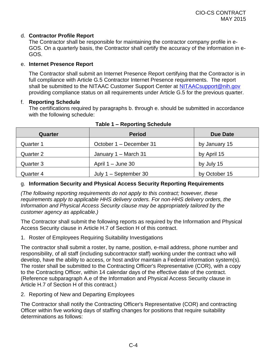#### d. **Contractor Profile Report**

The Contractor shall be responsible for maintaining the contractor company profile in e-GOS. On a quarterly basis, the Contractor shall certify the accuracy of the information in e-GOS.

#### e. **Internet Presence Report**

The Contractor shall submit an Internet Presence Report certifying that the Contractor is in full compliance with Article G.5 Contractor Internet Presence requirements. The report shall be submitted to the NITAAC Customer Support Center at [NITAACsupport@nih.gov](mailto:NITAACsupport@nih.gov) providing compliance status on all requirements under Article G.5 for the previous quarter.

#### f. **Reporting Schedule**

The certifications required by paragraphs b. through e. should be submitted in accordance with the following schedule:

| Quarter   | <b>Period</b>           | Due Date      |
|-----------|-------------------------|---------------|
| Quarter 1 | October 1 - December 31 | by January 15 |
| Quarter 2 | January 1 - March 31    | by April 15   |
| Quarter 3 | April $1 -$ June 30     | by July 15    |
| Quarter 4 | July 1 – September 30   | by October 15 |

#### **Table 1 – Reporting Schedule**

#### g. **Information Security and Physical Access Security Reporting Requirements**

*(The following reporting requirements do not apply to this contract; however, these requirements apply to applicable HHS delivery orders. For non-HHS delivery orders, the Information and Physical Access Security clause may be appropriately tailored by the customer agency as applicable.)*

The Contractor shall submit the following reports as required by the Information and Physical Access Security clause in Article H.7 of Section H of this contract.

1. Roster of Employees Requiring Suitability Investigations

The contractor shall submit a roster, by name, position, e-mail address, phone number and responsibility, of all staff (including subcontractor staff) working under the contract who will develop, have the ability to access, or host and/or maintain a Federal information system(s). The roster shall be submitted to the Contracting Officer's Representative (COR), with a copy to the Contracting Officer, within 14 calendar days of the effective date of the contract. (Reference subparagraph A.e of the Information and Physical Access Security clause in Article H.7 of Section H of this contract.)

2. Reporting of New and Departing Employees

The Contractor shall notify the Contracting Officer's Representative (COR) and contracting Officer within five working days of staffing changes for positions that require suitability determinations as follows: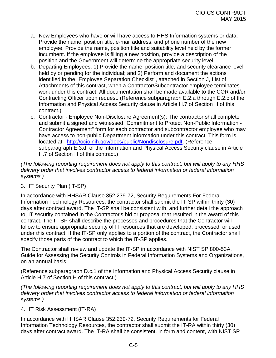- a. New Employees who have or will have access to HHS Information systems or data: Provide the name, position title, e-mail address, and phone number of the new employee. Provide the name, position title and suitability level held by the former incumbent. If the employee is filling a new position, provide a description of the position and the Government will determine the appropriate security level.
- b. Departing Employees: 1) Provide the name, position title, and security clearance level held by or pending for the individual; and 2) Perform and document the actions identified in the "Employee Separation Checklist", attached in Section J, List of Attachments of this contract, when a Contractor/Subcontractor employee terminates work under this contract. All documentation shall be made available to the COR and/or Contracting Officer upon request. (Reference subparagraph E.2.a through E.2.c of the Information and Physical Access Security clause in Article H.7 of Section H of this contract.)
- c. Contractor Employee Non-Disclosure Agreement(s): The contractor shall complete and submit a signed and witnessed "Commitment to Protect Non-Public Information - Contractor Agreement" form for each contractor and subcontractor employee who may have access to non-public Department information under this contract. This form is located at: [http://ocio.nih.gov/docs/public/Nondisclosure.pdf.](http://ocio.nih.gov/docs/public/Nondisclosure.pdf) (Reference subparagraph E.3.d. of the Information and Physical Access Security clause in Article H.7 of Section H of this contract.)

*(The following reporting requirement does not apply to this contract, but will apply to any HHS delivery order that involves contractor access to federal information or federal information systems.)*

#### 3. IT Security Plan (IT-SP)

In accordance with HHSAR Clause 352.239-72, Security Requirements For Federal Information Technology Resources, the contractor shall submit the IT-SP within thirty (30) days after contract award. The IT-SP shall be consistent with, and further detail the approach to, IT security contained in the Contractor's bid or proposal that resulted in the award of this contract. The IT-SP shall describe the processes and procedures that the Contractor will follow to ensure appropriate security of IT resources that are developed, processed, or used under this contract. If the IT-SP only applies to a portion of the contract, the Contractor shall specify those parts of the contract to which the IT-SP applies.

The Contractor shall review and update the IT-SP in accordance with NIST SP 800-53A, Guide for Assessing the Security Controls in Federal Information Systems and Organizations, on an annual basis.

(Reference subparagraph D.c.1 of the Information and Physical Access Security clause in Article H.7 of Section H of this contract.)

*(The following reporting requirement does not apply to this contract, but will apply to any HHS delivery order that involves contractor access to federal information or federal information systems.)*

#### 4. IT Risk Assessment (IT-RA)

In accordance with HHSAR Clause 352.239-72, Security Requirements for Federal Information Technology Resources, the contractor shall submit the IT-RA within thirty (30) days after contract award. The IT-RA shall be consistent, in form and content, with NIST SP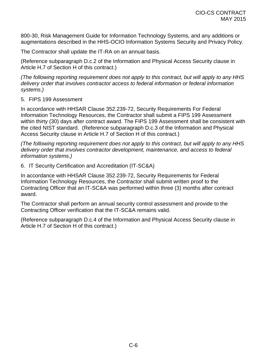800-30, Risk Management Guide for Information Technology Systems, and any additions or augmentations described in the HHS-OCIO Information Systems Security and Privacy Policy.

The Contractor shall update the IT-RA on an annual basis.

(Reference subparagraph D.c.2 of the Information and Physical Access Security clause in Article H.7 of Section H of this contract.)

*(The following reporting requirement does not apply to this contract, but will apply to any HHS delivery order that involves contractor access to federal information or federal information systems.)*

5. FIPS 199 Assessment

In accordance with HHSAR Clause 352.239-72, Security Requirements For Federal Information Technology Resources, the Contractor shall submit a FIPS 199 Assessment within thirty (30) days after contract award. The FIPS 199 Assessment shall be consistent with the cited NIST standard. (Reference subparagraph D.c.3 of the Information and Physical Access Security clause in Article H.7 of Section H of this contract.)

*(The following reporting requirement does not apply to this contract, but will apply to any HHS delivery order that involves contractor development, maintenance, and access to federal information systems.)*

6. IT Security Certification and Accreditation (IT-SC&A)

In accordance with HHSAR Clause 352.239-72, Security Requirements for Federal Information Technology Resources, the Contractor shall submit written proof to the Contracting Officer that an IT-SC&A was performed within three (3) months after contract award.

The Contractor shall perform an annual security control assessment and provide to the Contracting Officer verification that the IT-SC&A remains valid.

(Reference subparagraph D.c.4 of the Information and Physical Access Security clause in Article H.7 of Section H of this contract.)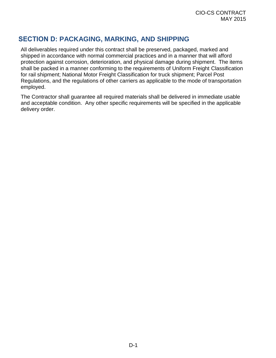# <span id="page-13-0"></span>**SECTION D: PACKAGING, MARKING, AND SHIPPING**

All deliverables required under this contract shall be preserved, packaged, marked and shipped in accordance with normal commercial practices and in a manner that will afford protection against corrosion, deterioration, and physical damage during shipment. The items shall be packed in a manner conforming to the requirements of Uniform Freight Classification for rail shipment; National Motor Freight Classification for truck shipment; Parcel Post Regulations, and the regulations of other carriers as applicable to the mode of transportation employed.

The Contractor shall guarantee all required materials shall be delivered in immediate usable and acceptable condition. Any other specific requirements will be specified in the applicable delivery order.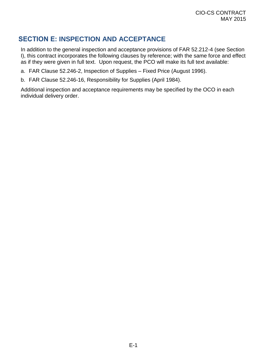# <span id="page-14-0"></span>**SECTION E: INSPECTION AND ACCEPTANCE**

In addition to the general inspection and acceptance provisions of FAR 52.212-4 (see Section I), this contract incorporates the following clauses by reference; with the same force and effect as if they were given in full text. Upon request, the PCO will make its full text available:

- a. FAR Clause 52.246-2, Inspection of Supplies Fixed Price (August 1996).
- b. FAR Clause 52.246-16, Responsibility for Supplies (April 1984).

Additional inspection and acceptance requirements may be specified by the OCO in each individual delivery order.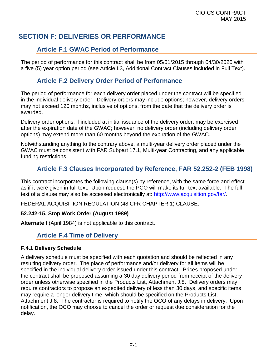# <span id="page-15-1"></span><span id="page-15-0"></span>**SECTION F: DELIVERIES OR PERFORMANCE**

# **Article F.1 GWAC Period of Performance**

<span id="page-15-2"></span>The period of performance for this contract shall be from 05/01/2015 through 04/30/2020 with a five (5) year option period (see Article I.3, Additional Contract Clauses included in Full Text).

# **Article F.2 Delivery Order Period of Performance**

The period of performance for each delivery order placed under the contract will be specified in the individual delivery order. Delivery orders may include options; however, delivery orders may not exceed 120 months, inclusive of options, from the date that the delivery order is awarded.

Delivery order options, if included at initial issuance of the delivery order, may be exercised after the expiration date of the GWAC; however, no delivery order (including delivery order options) may extend more than 60 months beyond the expiration of the GWAC.

Notwithstanding anything to the contrary above, a multi-year delivery order placed under the GWAC must be consistent with FAR Subpart 17.1, Multi-year Contracting, and any applicable funding restrictions.

# **Article F.3 Clauses Incorporated by Reference, FAR 52.252-2 (FEB 1998)**

<span id="page-15-3"></span>This contract incorporates the following clause(s) by reference, with the same force and effect as if it were given in full text. Upon request, the PCO will make its full text available. The full text of a clause may also be accessed electronically at: [http://www.acquisition.gov/far/.](http://www.acquisition.gov/far/)

FEDERAL ACQUISITION REGULATION (48 CFR CHAPTER 1) CLAUSE:

#### **52.242-15, Stop Work Order (August 1989)**

<span id="page-15-4"></span>**Alternate I** (April 1984) is not applicable to this contract.

# **Article F.4 Time of Delivery**

#### <span id="page-15-5"></span>**F.4.1 Delivery Schedule**

A delivery schedule must be specified with each quotation and should be reflected in any resulting delivery order. The place of performance and/or delivery for all items will be specified in the individual delivery order issued under this contract. Prices proposed under the contract shall be proposed assuming a 30 day delivery period from receipt of the delivery order unless otherwise specified in the Products List, Attachment J.8. Delivery orders may require contractors to propose an expedited delivery of less than 30 days, and specific items may require a longer delivery time, which should be specified on the Products List, Attachment J.8. The contractor is required to notify the OCO of any delays in delivery. Upon notification, the OCO may choose to cancel the order or request due consideration for the delay.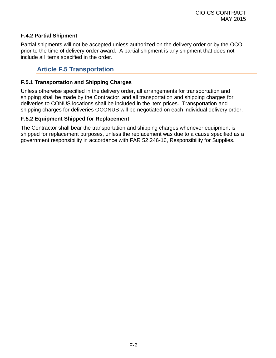#### <span id="page-16-0"></span>**F.4.2 Partial Shipment**

<span id="page-16-1"></span>Partial shipments will not be accepted unless authorized on the delivery order or by the OCO prior to the time of delivery order award. A partial shipment is any shipment that does not include all items specified in the order.

# **Article F.5 Transportation**

#### <span id="page-16-2"></span>**F.5.1 Transportation and Shipping Charges**

Unless otherwise specified in the delivery order, all arrangements for transportation and shipping shall be made by the Contractor, and all transportation and shipping charges for deliveries to CONUS locations shall be included in the item prices. Transportation and shipping charges for deliveries OCONUS will be negotiated on each individual delivery order.

#### <span id="page-16-3"></span>**F.5.2 Equipment Shipped for Replacement**

The Contractor shall bear the transportation and shipping charges whenever equipment is shipped for replacement purposes, unless the replacement was due to a cause specified as a government responsibility in accordance with FAR 52.246-16, Responsibility for Supplies.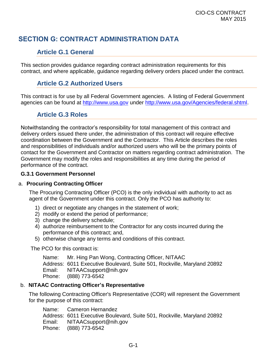# <span id="page-17-1"></span><span id="page-17-0"></span>**SECTION G: CONTRACT ADMINISTRATION DATA**

# **Article G.1 General**

<span id="page-17-2"></span>This section provides guidance regarding contract administration requirements for this contract, and where applicable, guidance regarding delivery orders placed under the contract.

# **Article G.2 Authorized Users**

<span id="page-17-3"></span>This contract is for use by all Federal Government agencies. A listing of Federal Government agencies can be found at [http://www.usa.gov](http://www.usa.gov/) under [http://www.usa.gov/Agencies/federal.shtml.](http://www.usa.gov/Agencies/federal.shtml)

# **Article G.3 Roles**

Notwithstanding the contractor's responsibility for total management of this contract and delivery orders issued there under, the administration of this contract will require effective coordination between the Government and the Contractor. This Article describes the roles and responsibilities of individuals and/or authorized users who will be the primary points of contact for the Government and Contractor on matters regarding contract administration. The Government may modify the roles and responsibilities at any time during the period of performance of the contract.

#### <span id="page-17-4"></span>**G.3.1 Government Personnel**

#### a. **Procuring Contracting Officer**

The Procuring Contracting Officer (PCO) is the only individual with authority to act as agent of the Government under this contract. Only the PCO has authority to:

- 1) direct or negotiate any changes in the statement of work;
- 2) modify or extend the period of performance;
- 3) change the delivery schedule;
- 4) authorize reimbursement to the Contractor for any costs incurred during the performance of this contract; and,
- 5) otherwise change any terms and conditions of this contract.

The PCO for this contract is:

Name: Mr. Hing Pan Wong, Contracting Officer, NITAAC Address: 6011 Executive Boulevard, Suite 501, Rockville, Maryland 20892 Email: NITAACsupport@nih.gov Phone: (888) 773-6542

#### b. **NITAAC Contracting Officer's Representative**

The following Contracting Officer's Representative (COR) will represent the Government for the purpose of this contract:

Name: Cameron Hernandez Address: 6011 Executive Boulevard, Suite 501, Rockville, Maryland 20892 Email: NITAACsupport@nih.gov Phone: (888) 773-6542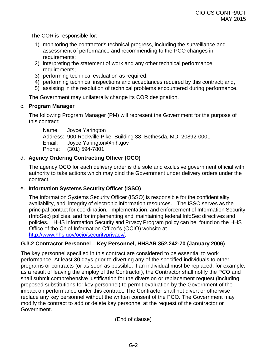The COR is responsible for:

- 1) monitoring the contractor's technical progress, including the surveillance and assessment of performance and recommending to the PCO changes in requirements;
- 2) interpreting the statement of work and any other technical performance requirements;
- 3) performing technical evaluation as required;
- 4) performing technical inspections and acceptances required by this contract; and,
- 5) assisting in the resolution of technical problems encountered during performance.

The Government may unilaterally change its COR designation.

#### c. **Program Manager**

The following Program Manager (PM) will represent the Government for the purpose of this contract:

Name: Joyce Yarington Address: 900 Rockville Pike, Building 38, Bethesda, MD 20892-0001 Email: Joyce.Yarington@nih.gov Phone: (301) 594-7801

#### d. **Agency Ordering Contracting Officer (OCO)**

The agency OCO for each delivery order is the sole and exclusive government official with authority to take actions which may bind the Government under delivery orders under the contract.

#### e. **Information Systems Security Officer (ISSO)**

The Information Systems Security Officer (ISSO) is responsible for the confidentiality, availability, and integrity of electronic information resources. The ISSO serves as the principal contact for coordination, implementation, and enforcement of Information Security (InfoSec) policies, and for implementing and maintaining federal InfoSec directives and policies. HHS Information Security and Privacy Program policy can be found on the HHS Office of the Chief Information Officer's (OCIO) website at [http://www.hhs.gov/ocio/securityprivacy/.](http://www.hhs.gov/ocio/securityprivacy/)

#### <span id="page-18-0"></span>**G.3.2 Contractor Personnel – Key Personnel, HHSAR 352.242-70 (January 2006)**

The key personnel specified in this contract are considered to be essential to work performance. At least 30 days prior to diverting any of the specified individuals to other programs or contracts (or as soon as possible, if an individual must be replaced, for example, as a result of leaving the employ of the Contractor), the Contractor shall notify the PCO and shall submit comprehensive justification for the diversion or replacement request (including proposed substitutions for key personnel) to permit evaluation by the Government of the impact on performance under this contract. The Contractor shall not divert or otherwise replace any key personnel without the written consent of the PCO. The Government may modify the contract to add or delete key personnel at the request of the contractor or Government.

(End of clause)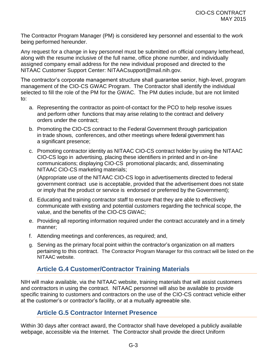The Contractor Program Manager (PM) is considered key personnel and essential to the work being performed hereunder.

Any request for a change in key personnel must be submitted on official company letterhead, along with the resume inclusive of the full name, office phone number, and individually assigned company email address for the new individual proposed and directed to the NITAAC Customer Support Center: NITAACsupport@mail.nih.gov.

The contractor's corporate management structure shall guarantee senior, high-level, program management of the CIO-CS GWAC Program. The Contractor shall identify the individual selected to fill the role of the PM for the GWAC. The PM duties include, but are not limited to:

- a. Representing the contractor as point-of-contact for the PCO to help resolve issues and perform other functions that may arise relating to the contract and delivery orders under the contract;
- b. Promoting the CIO-CS contract to the Federal Government through participation in trade shows, conferences, and other meetings where federal government has a significant presence;
- c. Promoting contractor identity as NITAAC CIO-CS contract holder by using the NITAAC CIO-CS logo in advertising, placing these identifiers in printed and in on-line communications; displaying CIO-CS promotional placards; and, disseminating NITAAC CIO-CS marketing materials;

(Appropriate use of the NITAAC CIO-CS logo in advertisements directed to federal government contract use is acceptable, provided that the advertisement does not state or imply that the product or service is endorsed or preferred by the Government);

- d. Educating and training contractor staff to ensure that they are able to effectively communicate with existing and potential customers regarding the technical scope, the value, and the benefits of the CIO-CS GWAC;
- e. Providing all reporting information required under the contract accurately and in a timely manner;
- f. Attending meetings and conferences, as required; and,
- g. Serving as the primary focal point within the contractor's organization on all matters pertaining to this contract. The Contractor Program Manager for this contract will be listed on the NITAAC website.

# **Article G.4 Customer/Contractor Training Materials**

<span id="page-19-0"></span>NIH will make available, via the NITAAC website, training materials that will assist customers and contractors in using the contract. NITAAC personnel will also be available to provide specific training to customers and contractors on the use of the CIO-CS contract vehicle either at the customer's or contractor's facility, or at a mutually agreeable site.

# **Article G.5 Contractor Internet Presence**

<span id="page-19-1"></span>Within 30 days after contract award, the Contractor shall have developed a publicly available webpage, accessible via the Internet. The Contractor shall provide the direct Uniform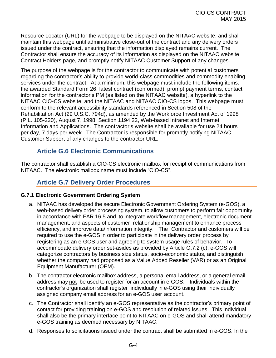Resource Locator (URL) for the webpage to be displayed on the NITAAC website, and shall maintain this webpage until administrative close-out of the contract and any delivery orders issued under the contract, ensuring that the information displayed remains current. The Contractor shall ensure the accuracy of its information as displayed on the NITAAC website Contract Holders page, and promptly notify NITAAC Customer Support of any changes.

The purpose of the webpage is for the contractor to communicate with potential customers regarding the contractor's ability to provide world-class commodities and commodity enabling services under the contract. At a minimum, this webpage must include the following items: the awarded Standard Form 26, latest contract (conformed), prompt payment terms, contact information for the contractor's PM (as listed on the NITAAC website), a hyperlink to the NITAAC CIO-CS website, and the NITAAC and NITAAC CIO-CS logos. This webpage must conform to the relevant accessibility standards referenced in Section 508 of the Rehabilitation Act (29 U.S.C. 794d), as amended by the Workforce Investment Act of 1998 (P.L. 105-220), August 7, 1998, Section 1194.22, Web-based Intranet and Internet Information and Applications. The contractor's website shall be available for use 24 hours per day, 7 days per week. The Contractor is responsible for promptly notifying NITAAC Customer Support of any changes to the contractor URL.

# **Article G.6 Electronic Communications**

<span id="page-20-1"></span><span id="page-20-0"></span>The contractor shall establish a CIO-CS electronic mailbox for receipt of communications from NITAAC. The electronic mailbox name must include "CIO-CS".

# **Article G.7 Delivery Order Procedures**

#### <span id="page-20-2"></span>**G.7.1 Electronic Government Ordering System**

- a. NITAAC has developed the secure Electronic Government Ordering System (e-GOS), a web-based delivery order processing system, to allow customers to perform fair opportunity in accordance with FAR 16.5 and to integrate workflow management, electronic document management, and aspects of customer relationship management to enhance process efficiency, and improve data/information integrity. The Contractor and customers will be required to use the e-GOS in order to participate in the delivery order process by registering as an e-GOS user and agreeing to system usage rules of behavior. To accommodate delivery order set-asides as provided by Article G.7.2 (c), e-GOS will categorize contractors by business size status, socio-economic status, and distinguish whether the company had proposed as a Value Added Reseller (VAR) or as an Original Equipment Manufacturer (OEM).
- b. The contractor electronic mailbox address, a personal email address, or a general email address may not be used to register for an account in e-GOS. Individuals within the contractor's organization shall register individually in e-GOS using their individually assigned company email address for an e-GOS user account.
- c. The Contractor shall identify an e-GOS representative as the contractor's primary point of contact for providing training on e-GOS and resolution of related issues. This individual shall also be the primary interface point to NITAAC on e-GOS and shall attend mandatory e-GOS training as deemed necessary by NITAAC.
- d. Responses to solicitations issued under the contract shall be submitted in e-GOS. In the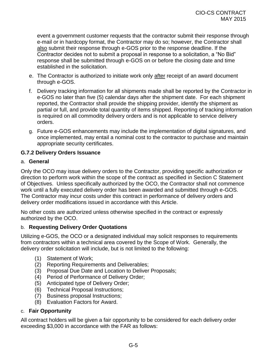event a government customer requests that the contractor submit their response through e-mail or in hardcopy format, the Contractor may do so; however, the Contractor shall also submit their response through e-GOS prior to the response deadline. If the Contractor decides not to submit a proposal in response to a solicitation, a "No Bid" response shall be submitted through e-GOS on or before the closing date and time established in the solicitation.

- e. The Contractor is authorized to initiate work only after receipt of an award document through e-GOS.
- f. Delivery tracking information for all shipments made shall be reported by the Contractor in e-GOS no later than five (5) calendar days after the shipment date. For each shipment reported, the Contractor shall provide the shipping provider, identify the shipment as partial or full, and provide total quantity of items shipped. Reporting of tracking information is required on all commodity delivery orders and is not applicable to service delivery orders.
- g. Future e-GOS enhancements may include the implementation of digital signatures, and once implemented, may entail a nominal cost to the contractor to purchase and maintain appropriate security certificates.

#### <span id="page-21-0"></span>**G.7.2 Delivery Orders Issuance**

#### a. **General**

Only the OCO may issue delivery orders to the Contractor, providing specific authorization or direction to perform work within the scope of the contract as specified in Section C Statement of Objectives. Unless specifically authorized by the OCO, the Contractor shall not commence work until a fully executed delivery order has been awarded and submitted through e-GOS. The Contractor may incur costs under this contract in performance of delivery orders and delivery order modifications issued in accordance with this Article.

No other costs are authorized unless otherwise specified in the contract or expressly authorized by the OCO.

#### b. **Requesting Delivery Order Quotations**

Utilizing e-GOS, the OCO or a designated individual may solicit responses to requirements from contractors within a technical area covered by the Scope of Work. Generally, the delivery order solicitation will include, but is not limited to the following:

- (1) Statement of Work;
- (2) Reporting Requirements and Deliverables;
- (3) Proposal Due Date and Location to Deliver Proposals;
- (4) Period of Performance of Delivery Order;
- (5) Anticipated type of Delivery Order;
- (6) Technical Proposal Instructions;
- (7) Business proposal Instructions;
- (8) Evaluation Factors for Award.

#### c. **Fair Opportunity**

All contract holders will be given a fair opportunity to be considered for each delivery order exceeding \$3,000 in accordance with the FAR as follows: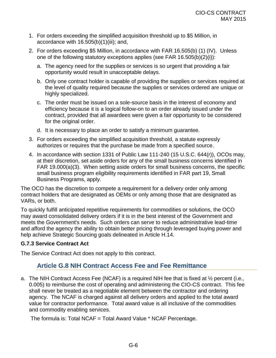- 1. For orders exceeding the simplified acquisition threshold up to \$5 Million, in accordance with 16.505(b)(1)(iii); and,
- 2. For orders exceeding \$5 Million, in accordance with FAR 16.505(b) (1) (IV). Unless one of the following statutory exceptions applies (see FAR 16.505(b)(2)(i)):
	- a. The agency need for the supplies or services is so urgent that providing a fair opportunity would result in unacceptable delays.
	- b. Only one contract holder is capable of providing the supplies or services required at the level of quality required because the supplies or services ordered are unique or highly specialized.
	- c. The order must be issued on a sole-source basis in the interest of economy and efficiency because it is a logical follow-on to an order already issued under the contract, provided that all awardees were given a fair opportunity to be considered for the original order.
	- d. It is necessary to place an order to satisfy a minimum guarantee.
- 3. For orders exceeding the simplified acquisition threshold, a statute expressly authorizes or requires that the purchase be made from a specified source.
- 4. In accordance with section 1331 of Public Law 111-240 [\(15 U.S.C. 644\(](http://uscode.house.gov/)r)), OCOs may, at their discretion, set aside orders for any of the small business concerns identified in FAR [19.000\(](http://www.acquisition.gov/far/current/html/Subpart%2019_1.html#wp1101780)a)(3). When setting aside orders for small business concerns, the specific small business program eligibility requirements identified in FAR part [19,](http://www.acquisition.gov/far/current/html/FARTOCP19.html#wp223561) Small Business Programs, apply.

The OCO has the discretion to compete a requirement for a delivery order only among contract holders that are designated as OEMs or only among those that are designated as VARs, or both.

To quickly fulfill anticipated repetitive requirements for commodities or solutions, the OCO may award consolidated delivery orders if it is in the best interest of the Government and meets the Government's needs. Such orders can serve to reduce administrative lead-time and afford the agency the ability to obtain better pricing through leveraged buying power and help achieve Strategic Sourcing goals delineated in Article H.14.

#### <span id="page-22-0"></span>**G.7.3 Service Contract Act**

<span id="page-22-1"></span>The Service Contract Act does not apply to this contract.

# **Article G.8 NIH Contract Access Fee and Fee Remittance**

a. The NIH Contract Access Fee (NCAF) is a required NIH fee that is fixed at ½ percent (i.e., 0.005) to reimburse the cost of operating and administering the CIO-CS contract. This fee shall never be treated as a negotiable element between the contractor and ordering agency. The NCAF is charged against all delivery orders and applied to the total award value for contractor performance. Total award value is all inclusive of the commodities and commodity enabling services.

The formula is: Total NCAF = Total Award Value \* NCAF Percentage.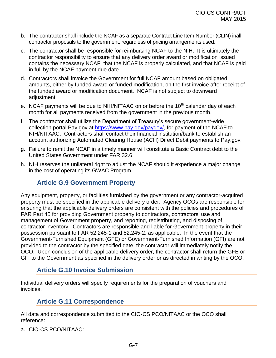- b. The contractor shall include the NCAF as a separate Contract Line Item Number (CLIN) inall contractor proposals to the government, regardless of pricing arrangements used.
- c. The contractor shall be responsible for reimbursing NCAF to the NIH. It is ultimately the contractor responsibility to ensure that any delivery order award or modification issued contains the necessary NCAF, that the NCAF is properly calculated, and that NCAF is paid in full by the NCAF payment due date.
- d. Contractors shall invoice the Government for full NCAF amount based on obligated amounts, either by funded award or funded modification, on the first invoice after receipt of the funded award or modification document. NCAF is not subject to downward adjustment.
- e. NCAF payments will be due to NIH/NITAAC on or before the  $10<sup>th</sup>$  calendar day of each month for all payments received from the government in the previous month.
- f. The contractor shall utilize the Department of Treasury's secure government-wide collection portal Pay.gov at [https://www.pay.gov/paygov/,](https://www.pay.gov/paygov/) for payment of the NCAF to NIH/NITAAC. Contractors shall contact their financial institution/bank to establish an account authorizing Automated Clearing House (ACH) Direct Debit payments to Pay.gov.
- g. Failure to remit the NCAF in a timely manner will constitute a Basic Contract debt to the United States Government under FAR 32.6.
- <span id="page-23-0"></span>h. NIH reserves the unilateral right to adjust the NCAF should it experience a major change in the cost of operating its GWAC Program.

# **Article G.9 Government Property**

Any equipment, property, or facilities furnished by the government or any contractor-acquired property must be specified in the applicable delivery order. Agency OCOs are responsible for ensuring that the applicable delivery orders are consistent with the policies and procedures of FAR Part 45 for providing Government property to contractors, contractors' use and management of Government property, and reporting, redistributing, and disposing of contractor inventory. Contractors are responsible and liable for Government property in their possession pursuant to FAR 52.245-1 and 52.245-2, as applicable. In the event that the Government-Furnished Equipment (GFE) or Government-Furnished Information (GFI) are not provided to the contractor by the specified date, the contractor will immediately notify the OCO. Upon conclusion of the applicable delivery order, the contractor shall return the GFE or GFI to the Government as specified in the delivery order or as directed in writing by the OCO.

# **Article G.10 Invoice Submission**

<span id="page-23-2"></span><span id="page-23-1"></span>Individual delivery orders will specify requirements for the preparation of vouchers and invoices.

# **Article G.11 Correspondence**

All data and correspondence submitted to the CIO-CS PCO/NITAAC or the OCO shall reference:

a. CIO-CS PCO/NITAAC: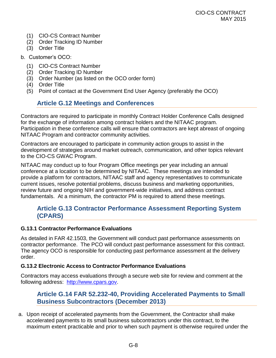- (1) CIO-CS Contract Number
- (2) Order Tracking ID Number
- (3) Order Title
- b. Customer's OCO:
	- (1) CIO-CS Contract Number
	- (2) Order Tracking ID Number
	- (3) Order Number (as listed on the OCO order form)
	- (4) Order Title
	- (5) Point of contact at the Government End User Agency (preferably the OCO)

# **Article G.12 Meetings and Conferences**

<span id="page-24-0"></span>Contractors are required to participate in monthly Contract Holder Conference Calls designed for the exchange of information among contract holders and the NITAAC program. Participation in these conference calls will ensure that contractors are kept abreast of ongoing NITAAC Program and contractor community activities.

Contractors are encouraged to participate in community action groups to assist in the development of strategies around market outreach, communication, and other topics relevant to the CIO-CS GWAC Program.

NITAAC may conduct up to four Program Office meetings per year including an annual conference at a location to be determined by NITAAC. These meetings are intended to provide a platform for contractors, NITAAC staff and agency representatives to communicate current issues, resolve potential problems, discuss business and marketing opportunities, review future and ongoing NIH and government-wide initiatives, and address contract fundamentals. At a minimum, the contractor PM is required to attend these meetings.

### <span id="page-24-1"></span>**Article G.13 Contractor Performance Assessment Reporting System (CPARS)**

#### <span id="page-24-2"></span>**G.13.1 Contractor Performance Evaluations**

As detailed in FAR 42.1503, the Government will conduct past performance assessments on contractor performance. The PCO will conduct past performance assessment for this contract. The agency OCO is responsible for conducting past performance assessment at the delivery order.

#### <span id="page-24-3"></span>**G.13.2 Electronic Access to Contractor Performance Evaluations**

<span id="page-24-4"></span>Contractors may access evaluations through a secure web site for review and comment at the following address: [http://www.cpars.gov.](http://www.cpars.gov/)

### **Article G.14 FAR 52.232-40, Providing Accelerated Payments to Small Business Subcontractors (December 2013)**

a. Upon receipt of accelerated payments from the Government, the Contractor shall make accelerated payments to its small business subcontractors under this contract, to the maximum extent practicable and prior to when such payment is otherwise required under the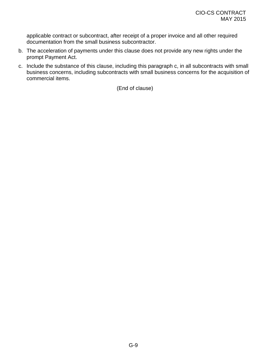applicable contract or subcontract, after receipt of a proper invoice and all other required documentation from the small business subcontractor.

- b. The acceleration of payments under this clause does not provide any new rights under the prompt Payment Act.
- c. Include the substance of this clause, including this paragraph c, in all subcontracts with small business concerns, including subcontracts with small business concerns for the acquisition of commercial items.

(End of clause)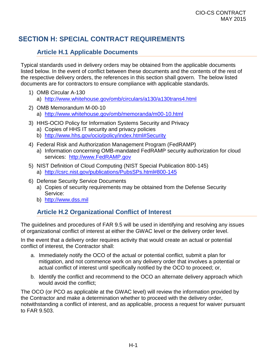# <span id="page-26-1"></span><span id="page-26-0"></span>**SECTION H: SPECIAL CONTRACT REQUIREMENTS**

# **Article H.1 Applicable Documents**

Typical standards used in delivery orders may be obtained from the applicable documents listed below. In the event of conflict between these documents and the contents of the rest of the respective delivery orders, the references in this section shall govern. The below listed documents are for contractors to ensure compliance with applicable standards.

- 1) OMB Circular A-130 a) <http://www.whitehouse.gov/omb/circulars/a130/a130trans4.html>
- 2) OMB Memorandum M-00-10 a) <http://www.whitehouse.gov/omb/memoranda/m00-10.html>
- 3) HHS-OCIO Policy for Information Systems Security and Privacy
	- a) Copies of HHS IT security and privacy policies
	- b) <http://www.hhs.gov/ocio/policy/index.html#Security>
- 4) Federal Risk and Authorization Management Program (FedRAMP)
	- a) Information concerning OMB-mandated FedRAMP security authorization for cloud services: [http://www.FedRAMP.gov](http://www.fedramp.gov/)
- 5) NIST Definition of Cloud Computing (NIST Special Publication 800-145) a) <http://csrc.nist.gov/publications/PubsSPs.html#800-145>
- 6) Defense Security Service Documents
	- a) Copies of security requirements may be obtained from the Defense Security Service:
	- b) [http://www.dss.mil](http://www.dss.mil/)

# **Article H.2 Organizational Conflict of Interest**

<span id="page-26-2"></span>The guidelines and procedures of FAR 9.5 will be used in identifying and resolving any issues of organizational conflict of interest at either the GWAC level or the delivery order level.

In the event that a delivery order requires activity that would create an actual or potential conflict of interest, the Contractor shall:

- a. Immediately notify the OCO of the actual or potential conflict, submit a plan for mitigation, and not commence work on any delivery order that involves a potential or actual conflict of interest until specifically notified by the OCO to proceed; or,
- b. Identify the conflict and recommend to the OCO an alternate delivery approach which would avoid the conflict;

The OCO (or PCO as applicable at the GWAC level) will review the information provided by the Contractor and make a determination whether to proceed with the delivery order, notwithstanding a conflict of interest, and as applicable, process a request for waiver pursuant to FAR 9.503.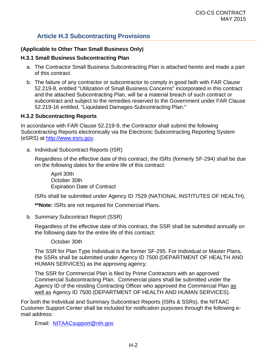# **Article H.3 Subcontracting Provisions**

#### <span id="page-27-0"></span>**(Applicable to Other Than Small Business Only)**

#### <span id="page-27-1"></span>**H.3.1 Small Business Subcontracting Plan**

- a. The Contractor Small Business Subcontracting Plan is attached hereto and made a part of this contract.
- b. The failure of any contractor or subcontractor to comply in good faith with FAR Clause 52.219-8, entitled "Utilization of Small Business Concerns" incorporated in this contract and the attached Subcontracting Plan, will be a material breach of such contract or subcontract and subject to the remedies reserved to the Government under FAR Clause 52.219-16 entitled, "Liquidated Damages-Subcontracting Plan."

#### <span id="page-27-2"></span>**H.3.2 Subcontracting Reports**

In accordance with FAR Clause 52.219-9, the Contractor shall submit the following Subcontracting Reports electronically via the Electronic Subcontracting Reporting System (eSRS) at [http://www.esrs.gov.](http://www.esrs.gov/)

a. Individual Subcontract Reports (ISR)

Regardless of the effective date of this contract, the ISRs (formerly SF-294) shall be due on the following dates for the entire life of this contract:

April 30th October 30th Expiration Date of Contract

ISRs shall be submitted under Agency ID 7529 (NATIONAL INSTITUTES OF HEALTH).

**\*\*Note:** ISRs are not required for Commercial Plans.

b. Summary Subcontract Report (SSR)

Regardless of the effective date of this contract, the SSR shall be submitted annually on the following date for the entire life of this contract:

October 30th

The SSR for Plan Type Individual is the former SF-295. For Individual or Master Plans, the SSRs shall be submitted under Agency ID 7500 (DEPARTMENT OF HEALTH AND HUMAN SERVICES) as the approving agency.

The SSR for Commercial Plan is filed by Prime Contractors with an approved Commercial Subcontracting Plan. Commercial plans shall be submitted under the Agency ID of the residing Contracting Officer who approved the Commercial Plan as well as Agency ID 7500 (DEPARTMENT OF HEALTH AND HUMAN SERVICES).

For both the Individual and Summary Subcontract Reports (ISRs & SSRs), the NITAAC Customer Support Center shall be included for notification purposes through the following email address:

Email: [NITAACsupport@nih.gov](mailto:NITAACsupport@nih.gov)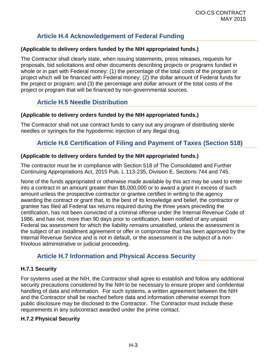# **Article H.4 Acknowledgement of Federal Funding**

#### <span id="page-28-0"></span>**(Applicable to delivery orders funded by the NIH appropriated funds.)**

The Contractor shall clearly state, when issuing statements, press releases, requests for proposals, bid solicitations and other documents describing projects or programs funded in whole or in part with Federal money: (1) the percentage of the total costs of the program or project which will be financed with Federal money; (2) the dollar amount of Federal funds for the project or program; and (3) the percentage and dollar amount of the total costs of the project or program that will be financed by non-governmental sources.

# **Article H.5 Needle Distribution**

#### <span id="page-28-1"></span>**(Applicable to delivery orders funded by the NIH appropriated funds.)**

<span id="page-28-2"></span>The Contractor shall not use contract funds to carry out any program of distributing sterile needles or syringes for the hypodermic injection of any illegal drug.

# **Article H.6 Certification of Filing and Payment of Taxes (Section 518)**

#### **(Applicable to delivery orders funded by the NIH appropriated funds.)**

The contractor must be in compliance with Section 518 of The Consolidated and Further Continuing Appropriations Act, 2015 Pub. L 113-235, Division E, Sections 744 and 745.

None of the funds appropriated or otherwise made available by this act may be used to enter into a contract in an amount greater than \$5,000,000 or to award a grant in excess of such amount unless the prospective contractor or grantee certifies in writing to the agency awarding the contract or grant that, to the best of its knowledge and belief, the contractor or grantee has filed all Federal tax returns required during the three years preceding the certification, has not been convicted of a criminal offense under the Internal Revenue Code of 1986, and has not, more than 90 days prior to certification, been notified of any unpaid Federal tax assessment for which the liability remains unsatisfied, unless the assessment is the subject of an installment agreement or offer in compromise that has been approved by the Internal Revenue Service and is not in default, or the assessment is the subject of a nonfrivolous administrative or judicial proceeding.

# **Article H.7 Information and Physical Access Security**

#### <span id="page-28-4"></span><span id="page-28-3"></span>**H.7.1 Security**

For systems used at the NIH, the Contractor shall agree to establish and follow any additional security precautions considered by the NIH to be necessary to ensure proper and confidential handling of data and information. For such systems, a written agreement between the NIH and the Contractor shall be reached before data and information otherwise exempt from public disclosure may be disclosed to the Contractor. The Contractor must include these requirements in any subcontract awarded under the prime contact.

#### <span id="page-28-5"></span>**H.7.2 Physical Security**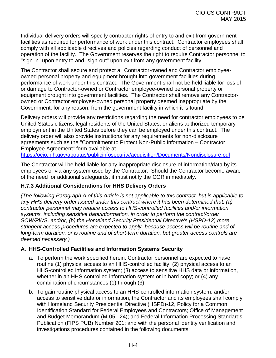Individual delivery orders will specify contractor rights of entry to and exit from government facilities as required for performance of work under this contract. Contractor employees shall comply with all applicable directives and policies regarding conduct of personnel and operation of the facility. The Government reserves the right to require Contractor personnel to "sign-in" upon entry to and "sign-out" upon exit from any government facility.

The Contractor shall secure and protect all Contractor-owned and Contractor employeeowned personal property and equipment brought into government facilities during performance of work under this contract. The Government shall not be held liable for loss of or damage to Contractor-owned or Contractor employee-owned personal property or equipment brought into government facilities. The Contractor shall remove any Contractorowned or Contractor employee-owned personal property deemed inappropriate by the Government, for any reason, from the government facility in which it is found.

Delivery orders will provide any restrictions regarding the need for contractor employees to be United States citizens, legal residents of the United States, or aliens authorized temporary employment in the United States before they can be employed under this contract. The delivery order will also provide instructions for any requirements for non-disclosure agreements such as the "Commitment to Protect Non-Public Information – Contractor Employee Agreement" form available at

<https://ocio.nih.gov/aboutus/publicinfosecurity/acquisition/Documents/Nondisclosure.pdf>

The Contractor will be held liable for any inappropriate disclosure of information/data by its employees or via any system used by the Contractor. Should the Contractor become aware of the need for additional safeguards, it must notify the COR immediately.

#### <span id="page-29-0"></span>**H.7.3 Additional Considerations for HHS Delivery Orders**

*(The following Paragraph A of this Article is not applicable to this contract, but is applicable to any HHS delivery order issued under this contract where it has been determined that: (a) contractor personnel may require access to HHS-controlled facilities and/or information systems, including sensitive data/information, in order to perform the contract/order SOW/PWS, and/or; (b) the Homeland Security Presidential Directive's (HSPD-12) more stringent access procedures are expected to apply, because access will be routine and of long-term duration, or is routine and of short-term duration, but greater access controls are deemed necessary.)*

#### **A. HHS-Controlled Facilities and Information Systems Security**

- a. To perform the work specified herein, Contractor personnel are expected to have routine (1) physical access to an HHS-controlled facility; (2) physical access to an HHS-controlled information system; (3) access to sensitive HHS data or information, whether in an HHS-controlled information system or in hard copy; or (4) any combination of circumstances (1) through (3).
- b. To gain routine physical access to an HHS-controlled information system, and/or access to sensitive data or information, the Contractor and its employees shall comply with Homeland Security Presidential Directive (HSPD)-12, Policy for a Common Identification Standard for Federal Employees and Contractors; Office of Management and Budget Memorandum (M-05– 24); and Federal Information Processing Standards Publication (FIPS PUB) Number 201; and with the personal identity verification and investigations procedures contained in the following documents: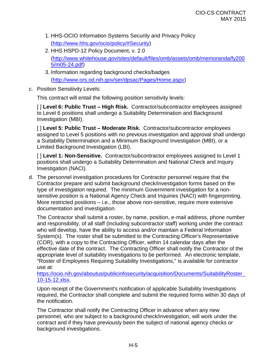- 1. HHS-OCIO Information Systems Security and Privacy Policy [\(http://www.hhs.gov/ocio/policy/#Security\)](http://www.hhs.gov/ocio/policy/#Security)
- 2. HHS HSPD-12 Policy Document, v. 2.0 [\(http://www.whitehouse.gov/sites/default/files/omb/assets/omb/memoranda/fy200](http://www.whitehouse.gov/sites/default/files/omb/assets/omb/memoranda/fy2005/m05-24.pdf) [5/m05-24.pdf\)](http://www.whitehouse.gov/sites/default/files/omb/assets/omb/memoranda/fy2005/m05-24.pdf)
- 3. Information regarding background checks/badges [\(http://www.ors.od.nih.gov/ser/dpsac/Pages/Home.aspx\)](http://www.ors.od.nih.gov/ser/dpsac/Pages/Home.aspx)
- c. Position Sensitivity Levels:

This contract will entail the following position sensitivity levels:

[ ] **Level 6: Public Trust – High Risk.** Contractor/subcontractor employees assigned to Level 6 positions shall undergo a Suitability Determination and Background Investigation (MBI).

[ ] **Level 5: Public Trust – Moderate Risk.** Contractor/subcontractor employees assigned to Level 5 positions with no previous investigation and approval shall undergo a Suitability Determination and a Minimum Background Investigation (MBI), or a Limited Background Investigation (LBI).

[ ] **Level 1: Non-Sensitive.** Contractor/subcontractor employees assigned to Level 1 positions shall undergo a Suitability Determination and National Check and Inquiry Investigation (NACI).

d. The personnel investigation procedures for Contractor personnel require that the Contractor prepare and submit background check/investigation forms based on the type of investigation required. The minimum Government investigation for a nonsensitive position is a National Agency Check and Inquiries (NACI) with fingerprinting. More restricted positions – i.e., those above non-sensitive, require more extensive documentation and investigation.

The Contractor shall submit a roster, by name, position, e-mail address, phone number and responsibility, of all staff (including subcontractor staff) working under the contract who will develop, have the ability to access and/or maintain a Federal Information System(s). The roster shall be submitted to the Contracting Officer's Representative (COR), with a copy to the Contracting Officer, within 14 calendar days after the effective date of the contract. The Contracting Officer shall notify the Contractor of the appropriate level of suitability investigations to be performed. An electronic template, "Roster of Employees Requiring Suitability Investigations," is available for contractor use at:

[https://ocio.nih.gov/aboutus/publicinfosecurity/acquisition/Documents/SuitabilityRoster\\_](https://ocio.nih.gov/aboutus/publicinfosecurity/acquisition/Documents/SuitabilityRoster_10-15-12.xlsx) [10-15-12.xlsx.](https://ocio.nih.gov/aboutus/publicinfosecurity/acquisition/Documents/SuitabilityRoster_10-15-12.xlsx)

Upon receipt of the Government's notification of applicable Suitability Investigations required, the Contractor shall complete and submit the required forms within 30 days of the notification.

The Contractor shall notify the Contracting Officer in advance when any new personnel, who are subject to a background check/investigation, will work under the contract and if they have previously been the subject of national agency checks or background investigations.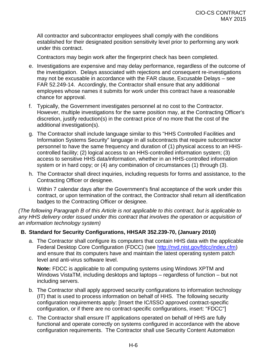All contractor and subcontractor employees shall comply with the conditions established for their designated position sensitivity level prior to performing any work under this contract.

Contractors may begin work after the fingerprint check has been completed.

- e. Investigations are expensive and may delay performance, regardless of the outcome of the investigation. Delays associated with rejections and consequent re-investigations may not be excusable in accordance with the FAR clause, Excusable Delays – see FAR 52.249-14. Accordingly, the Contractor shall ensure that any additional employees whose names it submits for work under this contract have a reasonable chance for approval.
- f. Typically, the Government investigates personnel at no cost to the Contractor. However, multiple investigations for the same position may, at the Contracting Officer's discretion, justify reduction(s) in the contract price of no more that the cost of the additional investigation(s).
- g. The Contractor shall include language similar to this "HHS Controlled Facilities and Information Systems Security" language in all subcontracts that require subcontractor personnel to have the same frequency and duration of (1) physical access to an HHScontrolled facility; (2) logical access to an HHS-controlled information system; (3) access to sensitive HHS data/information, whether in an HHS-controlled information system or in hard copy; or (4) any combination of circumstances (1) through (3).
- h. The Contractor shall direct inquiries, including requests for forms and assistance, to the Contracting Officer or designee.
- i. Within 7 calendar days after the Government's final acceptance of the work under this contract, or upon termination of the contract, the Contractor shall return all identification badges to the Contracting Officer or designee.

*(The following Paragraph B of this Article is not applicable to this contract, but is applicable to any HHS delivery order issued under this contract that involves the operation or acquisition of an information technology system)*

#### **B. Standard for Security Configurations, HHSAR 352.239-70, (January 2010)**

a. The Contractor shall configure its computers that contain HHS data with the applicable Federal Desktop Core Configuration (FDCC) (see [http://nvd.nist.gov/fdcc/index.cfm\)](http://nvd.nist.gov/fdcc/index.cfm) and ensure that its computers have and maintain the latest operating system patch level and anti-virus software level.

**Note:** FDCC is applicable to all computing systems using Windows XPTM and Windows VistaTM, including desktops and laptops – regardless of function – but not including servers.

- b. The Contractor shall apply approved security configurations to information technology (IT) that is used to process information on behalf of HHS. The following security configuration requirements apply: [Insert the IC/ISSO approved contract-specific configuration, or if there are no contract-specific configurations, insert: "FDCC"]
- c. The Contractor shall ensure IT applications operated on behalf of HHS are fully functional and operate correctly on systems configured in accordance with the above configuration requirements. The Contractor shall use Security Content Automation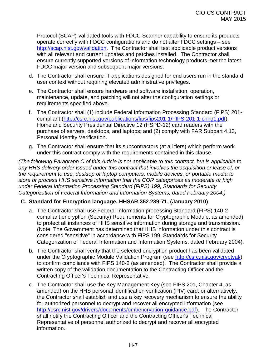Protocol (SCAP)-validated tools with FDCC Scanner capability to ensure its products operate correctly with FDCC configurations and do not alter FDCC settings – see [http://scap.nist.gov/validation.](http://scap.nist.gov/validation) The Contractor shall test applicable product versions with all relevant and current updates and patches installed. The Contractor shall ensure currently supported versions of information technology products met the latest FDCC major version and subsequent major versions.

- d. The Contractor shall ensure IT applications designed for end users run in the standard user context without requiring elevated administrative privileges.
- e. The Contractor shall ensure hardware and software installation, operation, maintenance, update, and patching will not alter the configuration settings or requirements specified above.
- f. The Contractor shall (1) include Federal Information Processing Standard (FIPS) 201 compliant [\(http://csrc.nist.gov/publications/fips/fips201-1/FIPS-201-1-chng1.pdf\)](http://csrc.nist.gov/publications/fips/fips201-1/FIPS-201-1-chng1.pdf), Homeland Security Presidential Directive 12 (HSPD-12) card readers with the purchase of servers, desktops, and laptops; and (2) comply with FAR Subpart 4.13, Personal Identity Verification.
- g. The Contractor shall ensure that its subcontractors (at all tiers) which perform work under this contract comply with the requirements contained in this clause.

*(The following Paragraph C of this Article is not applicable to this contract, but is applicable to any HHS delivery order issued under this contract that involves the acquisition or lease of, or the requirement to use, desktop or laptop computers, mobile devices, or portable media to store or process HHS sensitive information that the COR categorizes as moderate or high under Federal Information Processing Standard (FIPS) 199, Standards for Security Categorization of Federal Information and Information Systems, dated February 2004.)*

#### **C. Standard for Encryption language, HHSAR 352.239-71, (January 2010)**

- a. The Contractor shall use Federal Information processing Standard (FIPS) 140-2 compliant encryption (Security) Requirements for Cryptographic Module, as amended) to protect all instances of HHS sensitive information during storage and transmission. (Note: The Government has determined that HHS information under this contract is considered "sensitive" in accordance with FIPS 199, Standards for Security Categorization of Federal Information and Information Systems, dated February 2004).
- b. The Contractor shall verify that the selected encryption product has been validated under the Cryptographic Module Validation Program (see [http://csrc.nist.gov/cryptval/\)](http://csrc.nist.gov/cryptval/) to confirm compliance with FIPS 140-2 (as amended). The Contractor shall provide a written copy of the validation documentation to the Contracting Officer and the Contracting Officer's Technical Representative.
- c. The Contractor shall use the Key Management Key (see FIPS 201, Chapter 4, as amended) on the HHS personal identification verification (PIV) card; or alternatively, the Contractor shall establish and use a key recovery mechanism to ensure the ability for authorized personnel to decrypt and recover all encrypted information (see [http://csrc.nist.gov/drivers/documents/ombencryption-guidance.pdf\)](http://csrc.nist.gov/drivers/documents/ombencryption-guidance.pdf). The Contractor shall notify the Contracting Officer and the Contracting Officer's Technical Representative of personnel authorized to decrypt and recover all encrypted information.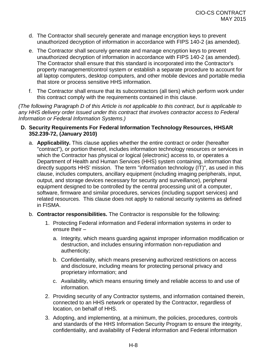- d. The Contractor shall securely generate and manage encryption keys to prevent unauthorized decryption of information in accordance with FIPS 140-2 (as amended).
- e. The Contractor shall securely generate and manage encryption keys to prevent unauthorized decryption of information in accordance with FIPS 140-2 (as amended). The Contractor shall ensure that this standard is incorporated into the Contractor's property management/control system or establish a separate procedure to account for all laptop computers, desktop computers, and other mobile devices and portable media that store or process sensitive HHS information.
- f. The Contractor shall ensure that its subcontractors (all tiers) which perform work under this contract comply with the requirements contained in this clause.

*(The following Paragraph D of this Article is not applicable to this contract, but is applicable to any HHS delivery order issued under this contract that involves contractor access to Federal Information or Federal Information Systems.)*

- **D. Security Requirements For Federal Information Technology Resources, HHSAR 352.239-72, (January 2010)**
	- a. **Applicability.** This clause applies whether the entire contract or order (hereafter "contract"), or portion thereof, includes information technology resources or services in which the Contractor has physical or logical (electronic) access to, or operates a Department of Health and Human Services (HHS) system containing, information that directly supports HHS' mission. The term "information technology (IT)", as used in this clause, includes computers, ancillary equipment (including imaging peripherals, input, output, and storage devices necessary for security and surveillance), peripheral equipment designed to be controlled by the central processing unit of a computer, software, firmware and similar procedures, services (including support services) and related resources. This clause does not apply to national security systems as defined in FISMA.
	- b. **Contractor responsibilities.** The Contractor is responsible for the following:
		- 1. Protecting Federal information and Federal information systems in order to ensure their –
			- a. Integrity, which means guarding against improper information modification or destruction, and includes ensuring information non-repudiation and authenticity;
			- b. Confidentiality, which means preserving authorized restrictions on access and disclosure, including means for protecting personal privacy and proprietary information; and
			- c. Availability, which means ensuring timely and reliable access to and use of information.
		- 2. Providing security of any Contractor systems, and information contained therein, connected to an HHS network or operated by the Contractor, regardless of location, on behalf of HHS.
		- 3. Adopting, and implementing, at a minimum, the policies, procedures, controls and standards of the HHS Information Security Program to ensure the integrity, confidentiality, and availability of Federal information and Federal information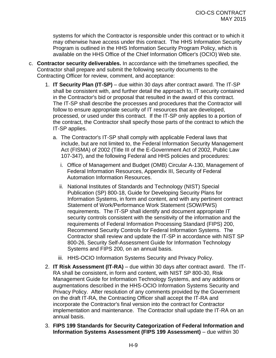systems for which the Contractor is responsible under this contract or to which it may otherwise have access under this contract. The HHS Information Security Program is outlined in the HHS Information Security Program Policy, which is available on the HHS Office of the Chief Information Officer's (OCIO) Web site.

- c. **Contractor security deliverables.** In accordance with the timeframes specified, the Contractor shall prepare and submit the following security documents to the Contracting Officer for review, comment, and acceptance:
	- 1. **IT Security Plan (IT-SP)** due within 30 days after contract award. The IT-SP shall be consistent with, and further detail the approach to, IT security contained in the Contractor's bid or proposal that resulted in the award of this contract. The IT-SP shall describe the processes and procedures that the Contractor will follow to ensure appropriate security of IT resources that are developed, processed, or used under this contract. If the IT-SP only applies to a portion of the contract, the Contractor shall specify those parts of the contract to which the IT-SP applies.
		- a. The Contractor's IT-SP shall comply with applicable Federal laws that include, but are not limited to, the Federal Information Security Management Act (FISMA) of 2002 (Title III of the E-Government Act of 2002, Public Law 107-347), and the following Federal and HHS policies and procedures:
			- i. Office of Management and Budget (OMB) Circular A-130, Management of Federal Information Resources, Appendix III, Security of Federal Automation Information Resources.
			- ii. National Institutes of Standards and Technology (NIST) Special Publication (SP) 800-18, Guide for Developing Security Plans for Information Systems, in form and content, and with any pertinent contract Statement of Work/Performance Work Statement (SOW/PWS) requirements. The IT-SP shall identify and document appropriate IT security controls consistent with the sensitivity of the information and the requirements of Federal Information Processing Standard (FIPS) 200, Recommend Security Controls for Federal Information Systems. The Contractor shall review and update the IT-SP in accordance with NIST SP 800-26, Security Self-Assessment Guide for Information Technology Systems and FIPS 200, on an annual basis.
			- iii. HHS-OCIO Information Systems Security and Privacy Policy.
	- 2. **IT Risk Assessment (IT-RA)** due within 30 days after contract award. The IT-RA shall be consistent, in form and content, with NIST SP 800-30, Risk Management Guide for Information Technology Systems, and any additions or augmentations described in the HHS-OCIO Information Systems Security and Privacy Policy. After resolution of any comments provided by the Government on the draft IT-RA, the Contracting Officer shall accept the IT-RA and incorporate the Contractor's final version into the contract for Contractor implementation and maintenance. The Contractor shall update the IT-RA on an annual basis.
	- 3. **FIPS 199 Standards for Security Categorization of Federal Information and Information Systems Assessment (FIPS 199 Assessment)** – due within 30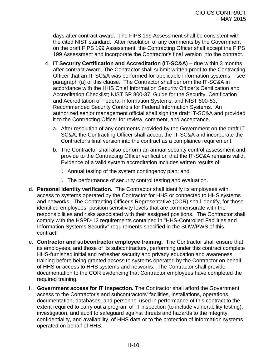days after contract award. The FIPS 199 Assessment shall be consistent with the cited NIST standard. After resolution of any comments by the Government on the draft FIPS 199 Assessment, the Contracting Officer shall accept the FIPS 199 Assessment and incorporate the Contractor's final version into the contract.

- 4. **IT Security Certification and Accreditation (IT-SC&A)** due within 3 months after contract award. The Contractor shall submit written proof to the Contracting Officer that an IT-SC&A was performed for applicable information systems – see paragraph (a) of this clause. The Contractor shall perform the IT-SC&A in accordance with the HHS Chief Information Security Officer's Certification and Accreditation Checklist; NIST SP 800-37, Guide for the Security, Certification and Accreditation of Federal Information Systems; and NIST 800-53, Recommended Security Controls for Federal Information Systems. An authorized senior management official shall sign the draft IT-SC&A and provided it to the Contracting Officer for review, comment, and acceptance.
	- a. After resolution of any comments provided by the Government on the draft IT SC&A, the Contracting Officer shall accept the IT-SC&A and incorporate the Contractor's final version into the contract as a compliance requirement.
	- b. The Contractor shall also perform an annual security control assessment and provide to the Contracting Officer verification that the IT-SC&A remains valid. Evidence of a valid system accreditation includes written results of:
		- i. Annual testing of the system contingency plan; and
		- ii. The performance of security control testing and evaluation.
- d. **Personal identity verification.** The Contractor shall identify its employees with access to systems operated by the Contractor for HHS or connected to HHS systems and networks. The Contracting Officer's Representative (COR) shall identify, for those identified employees, position sensitivity levels that are commensurate with the responsibilities and risks associated with their assigned positions. The Contractor shall comply with the HSPD-12 requirements contained in "HHS-Controlled Facilities and Information Systems Security" requirements specified in the SOW/PWS of this contract.
- e. **Contractor and subcontractor employee training.** The Contractor shall ensure that its employees, and those of its subcontractors, performing under this contract complete HHS-furnished initial and refresher security and privacy education and awareness training before being granted access to systems operated by the Contractor on behalf of HHS or access to HHS systems and networks. The Contractor shall provide documentation to the COR evidencing that Contractor employees have completed the required training.
- f. **Government access for IT inspection.** The Contractor shall afford the Government access to the Contractor's and subcontractors' facilities, installations, operations, documentation, databases, and personnel used in performance of this contract to the extent required to carry out a program of IT inspection (to include vulnerability testing), investigation, and audit to safeguard against threats and hazards to the integrity, confidentiality, and availability, of HHS data or to the protection of information systems operated on behalf of HHS.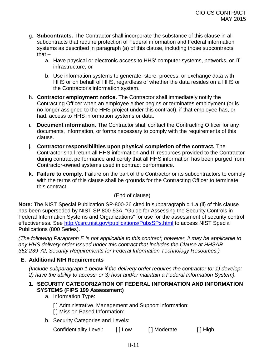- g. **Subcontracts.** The Contractor shall incorporate the substance of this clause in all subcontracts that require protection of Federal information and Federal information systems as described in paragraph (a) of this clause, including those subcontracts that  $$ 
	- a. Have physical or electronic access to HHS' computer systems, networks, or IT infrastructure; or
	- b. Use information systems to generate, store, process, or exchange data with HHS or on behalf of HHS, regardless of whether the data resides on a HHS or the Contractor's information system.
- h. **Contractor employment notice.** The Contractor shall immediately notify the Contracting Officer when an employee either begins or terminates employment (or is no longer assigned to the HHS project under this contract), if that employee has, or had, access to HHS information systems or data.
- i. **Document information.** The Contractor shall contact the Contracting Officer for any documents, information, or forms necessary to comply with the requirements of this clause.
- j. **Contractor responsibilities upon physical completion of the contract.** The Contractor shall return all HHS information and IT resources provided to the Contractor during contract performance and certify that all HHS information has been purged from Contractor-owned systems used in contract performance.
- k. **Failure to comply.** Failure on the part of the Contractor or its subcontractors to comply with the terms of this clause shall be grounds for the Contracting Officer to terminate this contract.

#### (End of clause)

**Note:** The NIST Special Publication SP-800-26 cited in subparagraph c.1.a.(ii) of this clause has been superseded by NIST SP 800-53A, "Guide for Assessing the Security Controls in Federal Information Systems and Organizations" for use for the assessment of security control effectiveness. See<http://csrc.nist.gov/publications/PubsSPs.html> to access NIST Special Publications (800 Series).

*(The following Paragraph E is not applicable to this contract; however, it may be applicable to any HHS delivery order issued under this contract that includes the Clause at HHSAR 352.239-72, Security Requirements for Federal Information Technology Resources.)*

#### **E. Additional NIH Requirements**

*(Include subparagraph 1 below if the delivery order requires the contractor to: 1) develop; 2) have the ability to access; or 3) host and/or maintain a Federal Information System).*

#### **1. SECURITY CATEGORIZATION OF FEDERAL INFORMATION AND INFORMATION SYSTEMS (FIPS 199 Assessment)**

a. Information Type:

[] Administrative, Management and Support Information: [ ] Mission Based Information:

b. Security Categories and Levels:

Confidentiality Level: [ ] Low [ ] Moderate [ ] High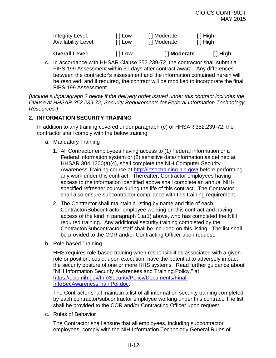| Integrity Level:           | [ ] Low | [ ] Moderate | [] High |
|----------------------------|---------|--------------|---------|
| <b>Availability Level:</b> | [ Low   | [ ] Moderate | [] High |

**Overall Level:** [ ] **Low** [ ] **Moderate** [ ] **High**

c. In accordance with HHSAR Clause 352.239-72, the contractor shall submit a FIPS 199 Assessment within 30 days after contract award. Any differences between the contractor's assessment and the information contained herein will be resolved, and if required, the contract will be modified to incorporate the final FIPS 199 Assessment.

*(Include subparagraph 2 below if the delivery order issued under this contract includes the Clause at HHSAR 352.239-72, Security Requirements for Federal Information Technology Resources.)*

#### **2. INFORMATION SECURITY TRAINING**

In addition to any training covered under paragraph (e) of HHSAR 352.239-72, the contractor shall comply with the below training:

- a. Mandatory Training
	- 1. All Contractor employees having access to (1) Federal information or a Federal information system or (2) sensitive data/information as defined at HHSAR 304.1300(a)(4), shall complete the NIH Computer Security Awareness Training course at<http://irtsectraining.nih.gov/> before performing any work under this contract. Thereafter, Contractor employees having access to the information identified above shall complete an annual NIHspecified refresher course during the life of this contract. The Contractor shall also ensure subcontractor compliance with this training requirement.
	- 2. The Contractor shall maintain a listing by name and title of each Contractor/Subcontractor employee working on this contract and having access of the kind in paragraph 1.a(1) above, who has completed the NIH required training. Any additional security training completed by the Contractor/Subcontractor staff shall be included on this listing. The list shall be provided to the COR and/or Contracting Officer upon request.
- b. Role-based Training

HHS requires role-based training when responsibilities associated with a given role or position, could, upon execution, have the potential to adversely impact the security posture of one or more HHS systems. Read further guidance about "NIH Information Security Awareness and Training Policy," at: [https://ocio.nih.gov/InfoSecurity/Policy/Documents/Final-](https://ocio.nih.gov/InfoSecurity/Policy/Documents/Final-InfoSecAwarenessTrainPol.doc)[InfoSecAwarenessTrainPol.doc.](https://ocio.nih.gov/InfoSecurity/Policy/Documents/Final-InfoSecAwarenessTrainPol.doc)

The Contractor shall maintain a list of all information security training completed by each contractor/subcontractor employee working under this contract. The list shall be provided to the COR and/or Contracting Officer upon request.

c. Rules of Behavior

The Contractor shall ensure that all employees, including subcontractor employees, comply with the NIH Information Technology General Rules of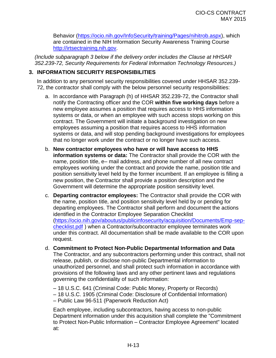Behavior [\(https://ocio.nih.gov/InfoSecurity/training/Pages/nihitrob.aspx\)](https://ocio.nih.gov/InfoSecurity/training/Pages/nihitrob.aspx), which are contained in the NIH Information Security Awareness Training Course [http://irtsectraining.nih.gov.](http://irtsectraining.nih.gov/)

*(Include subparagraph 3 below if the delivery order includes the Clause at HHSAR 352.239-72, Security Requirements for Federal Information Technology Resources.)*

#### **3. INFORMATION SECURITY RESPONSIBILITIES**

In addition to any personnel security responsibilities covered under HHSAR 352.239- 72, the contractor shall comply with the below personnel security responsibilities:

- a. In accordance with Paragraph (h) of HHSAR 352.239-72, the Contractor shall notify the Contracting officer and the COR **within five working days** before a new employee assumes a position that requires access to HHS information systems or data, or when an employee with such access stops working on this contract. The Government will initiate a background investigation on new employees assuming a position that requires access to HHS information systems or data, and will stop pending background investigations for employees that no longer work under the contract or no longer have such access.
- b. **New contractor employees who have or will have access to HHS information systems or data:** The Contractor shall provide the COR with the name, position title, e– mail address, and phone number of all new contract employees working under the contract and provide the name, position title and position sensitivity level held by the former incumbent. If an employee is filling a new position, the Contractor shall provide a position description and the Government will determine the appropriate position sensitivity level.
- c. **Departing contractor employees:** The Contractor shall provide the COR with the name, position title, and position sensitivity level held by or pending for departing employees. The Contractor shall perform and document the actions identified in the Contractor Employee Separation Checklist [\(https://ocio.nih.gov/aboutus/publicinfosecurity/acquisition/Documents/Emp-sep](https://ocio.nih.gov/aboutus/publicinfosecurity/acquisition/Documents/Emp-sep-checklist.pdf)[checklist.pdf](https://ocio.nih.gov/aboutus/publicinfosecurity/acquisition/Documents/Emp-sep-checklist.pdf) ) when a Contractor/subcontractor employee terminates work under this contract. All documentation shall be made available to the COR upon request.
- d. **Commitment to Protect Non-Public Departmental Information and Data** The Contractor, and any subcontractors performing under this contract, shall not release, publish, or disclose non-public Departmental information to unauthorized personnel, and shall protect such information in accordance with provisions of the following laws and any other pertinent laws and regulations governing the confidentiality of such information:
	- 18 U.S.C. 641 (Criminal Code: Public Money, Property or Records)
	- 18 U.S.C. 1905 (Criminal Code: Disclosure of Confidential Information)
	- Public Law 96-511 (Paperwork Reduction Act)

Each employee, including subcontractors, having access to non-public Department information under this acquisition shall complete the "Commitment to Protect Non-Public Information – Contractor Employee Agreement" located at: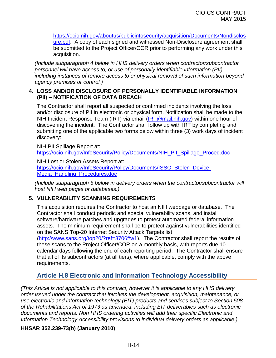[https://ocio.nih.gov/aboutus/publicinfosecurity/acquisition/Documents/Nondisclos](https://ocio.nih.gov/aboutus/publicinfosecurity/acquisition/Documents/Nondisclosure.pdf) [ure.pdf.](https://ocio.nih.gov/aboutus/publicinfosecurity/acquisition/Documents/Nondisclosure.pdf) A copy of each signed and witnessed Non-Disclosure agreement shall be submitted to the Project Officer/COR prior to performing any work under this acquisition.

*(Include subparagraph 4 below in HHS delivery orders when contractor/subcontractor personnel will have access to, or use of personally identifiable information (PII), including instances of remote access to or physical removal of such information beyond agency premises or control.)*

#### **4. LOSS AND/OR DISCLOSURE OF PERSONALLY IDENTIFIABLE INFORMATION (PII) – NOTIFICATION OF DATA BREACH**

The Contractor shall report all suspected or confirmed incidents involving the loss and/or disclosure of PII in electronic or physical form. Notification shall be made to the NIH Incident Response Team (IRT) via email [\(IRT@mail.nih.gov\)](mailto:IRT@mail.nih.gov) within one hour of discovering the incident. The Contractor shall follow up with IRT by completing and submitting one of the applicable two forms below within three (3) work days of incident discovery:

NIH PII Spillage Report at: [https://ocio.nih.gov/InfoSecurity/Policy/Documents/NIH\\_PII\\_Spillage\\_Proced.doc](https://ocio.nih.gov/InfoSecurity/Policy/Documents/NIH_PII_Spillage_Proced.doc)

NIH Lost or Stolen Assets Report at: [https://ocio.nih.gov/InfoSecurity/Policy/Documents/ISSO\\_Stolen\\_Device-](https://ocio.nih.gov/InfoSecurity/Policy/Documents/ISSO_Stolen_Device-Media_Handling_Procedures.doc)[Media\\_Handling\\_Procedures.doc](https://ocio.nih.gov/InfoSecurity/Policy/Documents/ISSO_Stolen_Device-Media_Handling_Procedures.doc)

*(Include subparagraph 5 below in delivery orders when the contractor/subcontractor will host NIH web pages or databases.)*

#### **5. VULNERABILITY SCANNING REQUIREMENTS**

This acquisition requires the Contractor to host an NIH webpage or database. The Contractor shall conduct periodic and special vulnerability scans, and install software/hardware patches and upgrades to protect automated federal information assets. The minimum requirement shall be to protect against vulnerabilities identified on the SANS Top-20 Internet Security Attack Targets list [\(http://www.sans.org/top20/?ref=3706#w1\)](http://www.sans.org/top20/?ref=3706#w1). The Contractor shall report the results of these scans to the Project Officer/COR on a monthly basis, with reports due 10 calendar days following the end of each reporting period. The Contractor shall ensure that all of its subcontractors (at all tiers), where applicable, comply with the above requirements.

# **Article H.8 Electronic and Information Technology Accessibility**

<span id="page-39-0"></span>*(This Article is not applicable to this contract, however it is applicable to any HHS delivery order issued under the contract that involves the development, acquisition, maintenance, or use electronic and information technology (EIT) products and services subject to Section 508 of the Rehabilitations Act of 1973 as amended, including EIT deliverables such as electronic documents and reports. Non HHS ordering activities will add their specific Electronic and Information Technology Accessibility provisions to individual delivery orders as applicable.)*

#### **HHSAR 352.239-73(b) (January 2010)**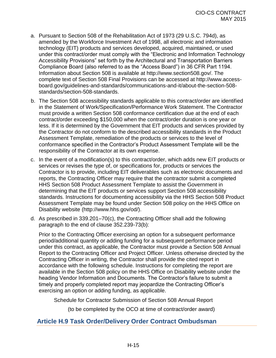- a. Pursuant to Section 508 of the Rehabilitation Act of 1973 (29 U.S.C. 794d), as amended by the Workforce Investment Act of 1998, all electronic and information technology (EIT) products and services developed, acquired, maintained, or used under this contract/order must comply with the "Electronic and Information Technology Accessibility Provisions" set forth by the Architectural and Transportation Barriers Compliance Board (also referred to as the "Access Board") in 36 CFR Part 1194. Information about Section 508 is available at http://www.section508.gov/. The complete text of Section 508 Final Provisions can be accessed at http://www.accessboard.gov/guidelines-and-standards/communications-and-it/about-the-section-508 standards/section-508-standards.
- b. The Section 508 accessibility standards applicable to this contract/order are identified in the Statement of Work/Specification/Performance Work Statement. The Contractor must provide a written Section 508 conformance certification due at the end of each contract/order exceeding \$150,000 when the contract/order duration is one year or less. If it is determined by the Government that EIT products and services provided by the Contractor do not conform to the described accessibility standards in the Product Assessment Template, remediation of the products or services to the level of conformance specified in the Contractor's Product Assessment Template will be the responsibility of the Contractor at its own expense.
- c. In the event of a modification(s) to this contract/order, which adds new EIT products or services or revises the type of, or specifications for, products or services the Contractor is to provide, including EIT deliverables such as electronic documents and reports, the Contracting Officer may require that the contractor submit a completed HHS Section 508 Product Assessment Template to assist the Government in determining that the EIT products or services support Section 508 accessibility standards. Instructions for documenting accessibility via the HHS Section 508 Product Assessment Template may be found under Section 508 policy on the HHS Office on Disability website (http://www.hhs.gov/od/).
- d. As prescribed in 339.201–70(c), the Contracting Officer shall add the following paragraph to the end of clause 352.239-73(b):

Prior to the Contracting Officer exercising an option for a subsequent performance period/additional quantity or adding funding for a subsequent performance period under this contract, as applicable, the Contractor must provide a Section 508 Annual Report to the Contracting Officer and Project Officer. Unless otherwise directed by the Contracting Officer in writing, the Contractor shall provide the cited report in accordance with the following schedule. Instructions for completing the report are available in the Section 508 policy on the HHS Office on Disability website under the heading Vendor Information and Documents. The Contractor's failure to submit a timely and properly completed report may jeopardize the Contracting Officer's exercising an option or adding funding, as applicable.

Schedule for Contractor Submission of Section 508 Annual Report

(to be completed by the OCO at time of contract/order award)

#### <span id="page-40-0"></span>**Article H.9 Task Order/Delivery Order Contract Ombudsman**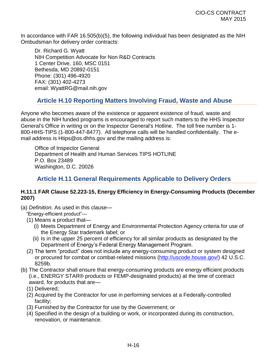In accordance with FAR 16.505(b)(5), the following individual has been designated as the NIH Ombudsman for delivery order contracts:

Dr. Richard G. Wyatt NIH Competition Advocate for Non R&D Contracts 1 Center Drive, 160, MSC 0151 Bethesda, MD 20892-0151 Phone: (301) 496-4920 FAX: (301) 402-4273 email: WyattRG@mail.nih.gov

# **Article H.10 Reporting Matters Involving Fraud, Waste and Abuse**

<span id="page-41-0"></span>Anyone who becomes aware of the existence or apparent existence of fraud, waste and abuse in the NIH funded programs is encouraged to report such matters to the HHS Inspector General's Office in writing or on the Inspector General's Hotline. The toll free number is 1- 800-HHS-TIPS (1-800-447-8477). All telephone calls will be handled confidentially. The email address is Htips@os.dhhs.gov and the mailing address is:

Office of Inspector General Department of Health and Human Services TIPS HOTLINE P.O. Box 23489 Washington, D.C. 20026

# **Article H.11 General Requirements Applicable to Delivery Orders**

#### <span id="page-41-2"></span><span id="page-41-1"></span>**H.11.1 FAR Clause 52.223-15, Energy Efficiency in Energy-Consuming Products (December 2007)**

(a) *Definition.* As used in this clause—

"Energy-efficient product"—

- (1) Means a product that—
	- (i) Meets Department of Energy and Environmental Protection Agency criteria for use of the Energy Star trademark label; or
	- (ii) Is in the upper 25 percent of efficiency for all similar products as designated by the Department of Energy's Federal Energy Management Program.
- (2) The term "product" does not include any energy-consuming product or system designed or procured for combat or combat-related missions [\(http://uscode.house.gov/\) 42 U.S.C.](http://uscode.house.gov/)  [8259b.](http://uscode.house.gov/)
- (b) The Contractor shall ensure that energy-consuming products are energy efficient products (i.e., ENERGY STAR® products or FEMP-designated products) at the time of contract award, for products that are—
	- (1) Delivered;
	- (2) Acquired by the Contractor for use in performing services at a Federally-controlled facility;
	- (3) Furnished by the Contractor for use by the Government; or
	- (4) Specified in the design of a building or work, or incorporated during its construction, renovation, or maintenance.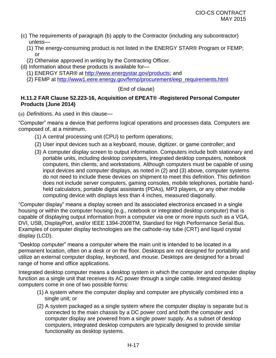- (c) The requirements of paragraph (b) apply to the Contractor (including any subcontractor) unless—
	- (1) The energy-consuming product is not listed in the ENERGY STAR® Program or FEMP; or
	- (2) Otherwise approved in writing by the Contracting Officer.
- (d) Information about these products is available for—
	- (1) ENERGY STAR® at [http://www.energystar.gov/products;](http://www.energystar.gov/products) and
	- (2) FEMP at [http://www1.eere.energy.gov/femp/procurement/eep\\_requirements.html](http://www1.eere.energy.gov/femp/procurement/eep_requirements.html)

#### (End of clause)

#### <span id="page-42-0"></span>**H.11.2 FAR Clause 52.223-16, Acquisition of EPEAT® -Registered Personal Computer Products (June 2014)**

(a) *Definitions*. As used in this clause—

"Computer" means a device that performs logical operations and processes data. Computers are composed of, at a minimum.

- (1) A central processing unit (CPU) to perform operations;
- (2) User input devices such as a keyboard, mouse, digitizer, or game controller; and
- (3) A computer display screen to output information. Computers include both stationary and portable units, including desktop computers, integrated desktop computers, notebook computers, thin clients, and workstations. Although computers must be capable of using input devices and computer displays, as noted in (2) and (3) above, computer systems do not need to include these devices on shipment to meet this definition. This definition does not include server computers, gaming consoles, mobile telephones, portable handheld calculators, portable digital assistants (PDAs), MP3 players, or any other mobile computing device with displays less than 4 inches, measured diagonally.

"Computer display" means a display screen and its associated electronics encased in a single housing or within the computer housing (e.g., notebook or integrated desktop computer) that is capable of displaying output information from a computer via one or more inputs such as a VGA, DVI, USB, DisplayPort, and/or IEEE 1394-2008TM, Standard for High Performance Serial Bus. Examples of computer display technologies are the cathode-ray tube (CRT) and liquid crystal display (LCD).

"Desktop computer" means a computer where the main unit is intended to be located in a permanent location, often on a desk or on the floor. Desktops are not designed for portability and utilize an external computer display, keyboard, and mouse. Desktops are designed for a broad range of home and office applications.

Integrated desktop computer means a desktop system in which the computer and computer display function as a single unit that receives its AC power through a single cable. Integrated desktop computers come in one of two possible forms:

- (1) A system where the computer display and computer are physically combined into a single unit; or
- (2) A system packaged as a single system where the computer display is separate but is connected to the main chassis by a DC power cord and both the computer and computer display are powered from a single power supply. As a subset of desktop computers, integrated desktop computers are typically designed to provide similar functionality as desktop systems.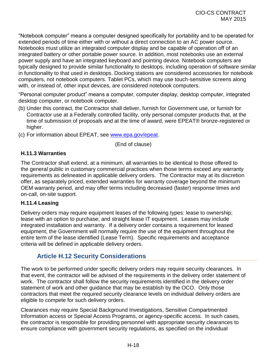"Notebook computer" means a computer designed specifically for portability and to be operated for extended periods of time either with or without a direct connection to an AC power source. Notebooks must utilize an integrated computer display and be capable of operation off of an integrated battery or other portable power source. In addition, most notebooks use an external power supply and have an integrated keyboard and pointing device. Notebook computers are typically designed to provide similar functionality to desktops, including operation of software similar in functionality to that used in desktops. Docking stations are considered accessories for notebook computers, not notebook computers. Tablet PCs, which may use touch-sensitive screens along with, or instead of, other input devices, are considered notebook computers.

"Personal computer product" means a computer, computer display, desktop computer, integrated desktop computer, or notebook computer.

- (b) Under this contract, the Contractor shall deliver, furnish for Government use, or furnish for Contractor use at a Federally controlled facility, only personal computer products that, at the time of submission of proposals and at the time of award, were EPEAT® bronze-registered or higher.
- (c) For information about EPEAT, see [www.epa.gov/epeat.](http://www.epa.gov/epeat)

(End of clause)

#### <span id="page-43-0"></span>**H.11.3 Warranties**

The Contractor shall extend, at a minimum, all warranties to be identical to those offered to the general public in customary commercial practices when those terms exceed any warranty requirements as delineated in applicable delivery orders. The Contractor may at its discretion offer, as separately priced, extended warranties for warranty coverage beyond the minimum OEM warranty period, and may offer terms including decreased (faster) response times and on-call, on-site support.

#### <span id="page-43-1"></span>**H.11.4 Leasing**

Delivery orders may require equipment leases of the following types: lease to ownership; lease with an option to purchase; and straight lease IT equipment. Leases may include integrated installation and warranty. If a delivery order contains a requirement for leased equipment, the Government will normally require the use of the equipment throughout the entire term of the lease identified (Lease Term). Specific requirements and acceptance criteria will be defined in applicable delivery orders.

# **Article H.12 Security Considerations**

<span id="page-43-2"></span>The work to be performed under specific delivery orders may require security clearances. In that event, the contractor will be advised of the requirements in the delivery order statement of work. The contractor shall follow the security requirements identified in the delivery order statement of work and other guidance that may be establish by the OCO. Only those contractors that meet the required security clearance levels on individual delivery orders are eligible to compete for such delivery orders.

Clearances may require Special Background Investigations, Sensitive Compartmented Information access or Special Access Programs, or agency-specific access. In such cases, the contractor is responsible for providing personnel with appropriate security clearances to ensure compliance with government security regulations, as specified on the individual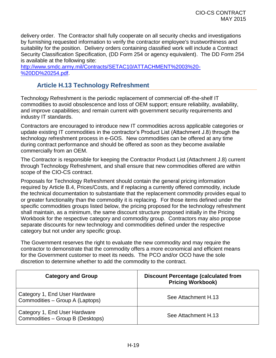delivery order. The Contractor shall fully cooperate on all security checks and investigations by furnishing requested information to verify the contractor employee's trustworthiness and suitability for the position. Delivery orders containing classified work will include a Contract Security Classification Specification, (DD Form 254 or agency equivalent). The DD Form 254 is available at the following site:

<span id="page-44-0"></span>[http://www.smdc.army.mil/Contracts/SETAC10/ATTACHMENT%2003%20-](http://www.smdc.army.mil/Contracts/SETAC10/ATTACHMENT%2003%20-%20DD%20254.pdf) [%20DD%20254.pdf.](http://www.smdc.army.mil/Contracts/SETAC10/ATTACHMENT%2003%20-%20DD%20254.pdf)

# **Article H.13 Technology Refreshment**

Technology Refreshment is the periodic replacement of commercial off-the-shelf IT commodities to avoid obsolescence and loss of OEM support; ensure reliability, availability, and improve capabilities; and remain current with government security requirements and industry IT standards.

Contractors are encouraged to introduce new IT commodities across applicable categories or update existing IT commodities in the contractor's Product List (Attachment J.8) through the technology refreshment process in e-GOS. New commodities can be offered at any time during contract performance and should be offered as soon as they become available commercially from an OEM.

The Contractor is responsible for keeping the Contractor Product List (Attachment J.8) current through Technology Refreshment, and shall ensure that new commodities offered are within scope of the CIO-CS contract.

Proposals for Technology Refreshment should contain the general pricing information required by Article B.4, Prices/Costs, and if replacing a currently offered commodity, include the technical documentation to substantiate that the replacement commodity provides equal to or greater functionality than the commodity it is replacing. For those items defined under the specific commodities groups listed below, the pricing proposed for the technology refreshment shall maintain, as a minimum, the same discount structure proposed initially in the Pricing Workbook for the respective category and commodity group. Contractors may also propose separate discounts for new technology and commodities defined under the respective category but not under any specific group.

The Government reserves the right to evaluate the new commodity and may require the contractor to demonstrate that the commodity offers a more economical and efficient means for the Government customer to meet its needs. The PCO and/or OCO have the sole discretion to determine whether to add the commodity to the contract.

| <b>Category and Group</b>                                         | <b>Discount Percentage (calculated from</b><br><b>Pricing Workbook)</b> |
|-------------------------------------------------------------------|-------------------------------------------------------------------------|
| Category 1, End User Hardware<br>Commodities - Group A (Laptops)  | See Attachment H.13                                                     |
| Category 1, End User Hardware<br>Commodities - Group B (Desktops) | See Attachment H.13                                                     |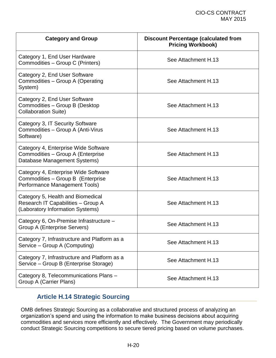| <b>Category and Group</b>                                                                                   | <b>Discount Percentage (calculated from</b><br><b>Pricing Workbook)</b> |
|-------------------------------------------------------------------------------------------------------------|-------------------------------------------------------------------------|
| Category 1, End User Hardware<br>Commodities - Group C (Printers)                                           | See Attachment H.13                                                     |
| Category 2, End User Software<br>Commodities - Group A (Operating<br>System)                                | See Attachment H.13                                                     |
| Category 2, End User Software<br>Commodities - Group B (Desktop<br><b>Collaboration Suite)</b>              | See Attachment H.13                                                     |
| Category 3, IT Security Software<br>Commodities - Group A (Anti-Virus<br>Software)                          | See Attachment H.13                                                     |
| Category 4, Enterprise Wide Software<br>Commodities - Group A (Enterprise<br>Database Management Systems)   | See Attachment H.13                                                     |
| Category 4, Enterprise Wide Software<br>Commodities - Group B (Enterprise<br>Performance Management Tools)  | See Attachment H.13                                                     |
| Category 5, Health and Biomedical<br>Research IT Capabilities - Group A<br>(Laboratory Information Systems) | See Attachment H.13                                                     |
| Category 6, On-Premise Infrastructure -<br>Group A (Enterprise Servers)                                     | See Attachment H.13                                                     |
| Category 7, Infrastructure and Platform as a<br>Service – Group A (Computing)                               | See Attachment H.13                                                     |
| Category 7, Infrastructure and Platform as a<br>Service – Group B (Enterprise Storage)                      | See Attachment H.13                                                     |
| Category 8, Telecommunications Plans -<br>Group A (Carrier Plans)                                           | See Attachment H.13                                                     |

# **Article H.14 Strategic Sourcing**

<span id="page-45-0"></span>OMB defines Strategic Sourcing as a collaborative and structured process of analyzing an organization's spend and using the information to make business decisions about acquiring commodities and services more efficiently and effectively. The Government may periodically conduct Strategic Sourcing competitions to secure tiered pricing based on volume purchases.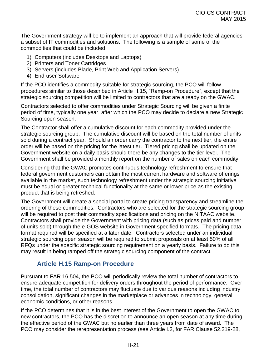The Government strategy will be to implement an approach that will provide federal agencies a subset of IT commodities and solutions. The following is a sample of some of the commodities that could be included:

- 1) Computers (includes Desktops and Laptops)
- 2) Printers and Toner Cartridges
- 3) Servers (includes Blade, Print Web and Application Servers)
- 4) End-user Software

If the PCO identifies a commodity suitable for strategic sourcing, the PCO will follow procedures similar to those described in Article H.15, "Ramp-on Procedure", except that the strategic sourcing competition will be limited to contractors that are already on the GWAC.

Contractors selected to offer commodities under Strategic Sourcing will be given a finite period of time, typically one year, after which the PCO may decide to declare a new Strategic Sourcing open season.

The Contractor shall offer a cumulative discount for each commodity provided under the strategic sourcing group. The cumulative discount will be based on the total number of units sold during a contract year. Should an order carry the contractor to the next tier, the entire order will be based on the pricing for the latest tier. Tiered pricing shall be updated on the Government website on a daily basis should there be any changes to the tier level. The Government shall be provided a monthly report on the number of sales on each commodity.

Considering that the GWAC promotes continuous technology refreshment to ensure that federal government customers can obtain the most current hardware and software offerings available in the market, such technology refreshment under the strategic sourcing initiative must be equal or greater technical functionality at the same or lower price as the existing product that is being refreshed.

The Government will create a special portal to create pricing transparency and streamline the ordering of these commodities. Contractors who are selected for the strategic sourcing group will be required to post their commodity specifications and pricing on the NITAAC website. Contractors shall provide the Government with pricing data (such as prices paid and number of units sold) through the e-GOS website in Government specified formats. The pricing data format required will be specified at a later date. Contractors selected under an individual strategic sourcing open season will be required to submit proposals on at least 50% of all RFQs under the specific strategic sourcing requirement on a yearly basis. Failure to do this may result in being ramped off the strategic sourcing component of the contract.

# **Article H.15 Ramp-on Procedure**

<span id="page-46-0"></span>Pursuant to FAR 16.504, the PCO will periodically review the total number of contractors to ensure adequate competition for delivery orders throughout the period of performance. Over time, the total number of contractors may fluctuate due to various reasons including industry consolidation, significant changes in the marketplace or advances in technology, general economic conditions, or other reasons.

If the PCO determines that it is in the best interest of the Government to open the GWAC to new contractors, the PCO has the discretion to announce an open season at any time during the effective period of the GWAC but no earlier than three years from date of award. The PCO may consider the rerepresentation process (see Article I.2, for FAR Clause 52.219-28,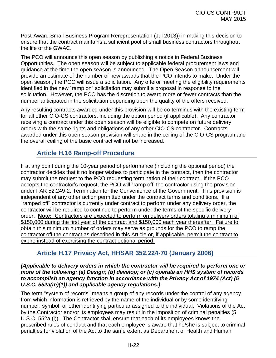Post-Award Small Business Program Rerepresentation (Jul 2013)) in making this decision to ensure that the contract maintains a sufficient pool of small business contractors throughout the life of the GWAC.

The PCO will announce this open season by publishing a notice in Federal Business Opportunities. The open season will be subject to applicable federal procurement laws and guidance at the time the open season is announced. The Open Season announcement will provide an estimate of the number of new awards that the PCO intends to make. Under the open season, the PCO will issue a solicitation. Any offeror meeting the eligibility requirements identified in the new "ramp on" solicitation may submit a proposal in response to the solicitation. However, the PCO has the discretion to award more or fewer contracts than the number anticipated in the solicitation depending upon the quality of the offers received.

Any resulting contracts awarded under this provision will be co-terminus with the existing term for all other CIO-CS contractors, including the option period (if applicable). Any contractor receiving a contract under this open season will be eligible to compete on future delivery orders with the same rights and obligations of any other CIO-CS contractor. Contracts awarded under this open season provision will share in the ceiling of the CIO-CS program and the overall ceiling of the basic contract will not be increased.

# **Article H.16 Ramp-off Procedure**

<span id="page-47-0"></span>If at any point during the 10-year period of performance (including the optional period) the contractor decides that it no longer wishes to participate in the contract, then the contractor may submit the request to the PCO requesting termination of their contract. If the PCO accepts the contractor's request, the PCO will "ramp off' the contractor using the provision under FAR 52.249-2, Termination for the Convenience of the Government. This provision is independent of any other action permitted under the contract terms and conditions. If a "ramped off" contractor is currently under contract to perform under any delivery order, the contractor will be required to continue to perform under the terms of the specific delivery order. **Note:** Contractors are expected to perform on delivery orders totaling a minimum of \$150,000 during the first year of the contract and \$150,000 each year thereafter. Failure to obtain this minimum number of orders may serve as grounds for the PCO to ramp the contractor off the contract as described in this Article or, if applicable, permit the contract to expire instead of exercising the contract optional period.

# **Article H.17 Privacy Act, HHSAR 352.224-70 (January 2006)**

#### <span id="page-47-1"></span>*(Applicable to delivery orders in which the contractor will be required to perform one or more of the following: (a) Design; (b) develop; or (c) operate an HHS system of records to accomplish an agency function in accordance with the Privacy Act of 1974 (Act) (5 U.S.C. 552a(m)(1)) and applicable agency regulations.)*

The term "system of records" means a group of any records under the control of any agency from which information is retrieved by the name of the individual or by some identifying number, symbol, or other identifying particular assigned to the individual. Violations of the Act by the Contractor and/or its employees may result in the imposition of criminal penalties (5 U.S.C. 552a (i)). The Contractor shall ensure that each of its employees knows the prescribed rules of conduct and that each employee is aware that he/she is subject to criminal penalties for violation of the Act to the same extent as Department of Health and Human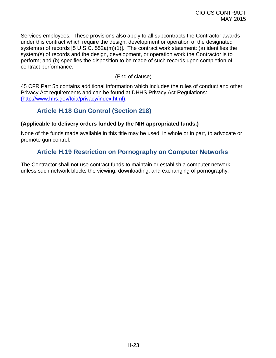Services employees. These provisions also apply to all subcontracts the Contractor awards under this contract which require the design, development or operation of the designated system(s) of records [5 U.S.C. 552a(m)(1)]. The contract work statement: (a) identifies the system(s) of records and the design, development, or operation work the Contractor is to perform; and (b) specifies the disposition to be made of such records upon completion of contract performance.

(End of clause)

45 CFR Part 5b contains additional information which includes the rules of conduct and other Privacy Act requirements and can be found at [DHHS Privacy Act Regulations:](http://www.hhs.gov/foia/privacy/index.html) [\(http://www.hhs.gov/foia/privacy/index.html\)](http://www.hhs.gov/foia/privacy/index.html).

# **Article H.18 Gun Control (Section 218)**

#### <span id="page-48-0"></span>**(Applicable to delivery orders funded by the NIH appropriated funds.)**

<span id="page-48-1"></span>None of the funds made available in this title may be used, in whole or in part, to advocate or promote gun control.

# **Article H.19 Restriction on Pornography on Computer Networks**

The Contractor shall not use contract funds to maintain or establish a computer network unless such network blocks the viewing, downloading, and exchanging of pornography.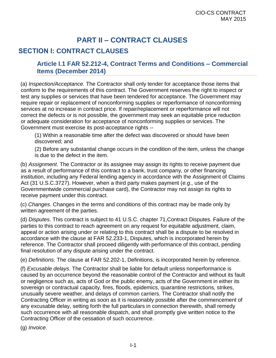# **PART II – CONTRACT CLAUSES**

# <span id="page-49-1"></span><span id="page-49-0"></span>**SECTION I: CONTRACT CLAUSES**

### **Article I.1 FAR 52.212-4, Contract Terms and Conditions – Commercial Items (December 2014)**

(a) *Inspection/Acceptance.* The Contractor shall only tender for acceptance those items that conform to the requirements of this contract. The Government reserves the right to inspect or test any supplies or services that have been tendered for acceptance. The Government may require repair or replacement of nonconforming supplies or reperformance of nonconforming services at no increase in contract price. If repair/replacement or reperformance will not correct the defects or is not possible, the government may seek an equitable price reduction or adequate consideration for acceptance of nonconforming supplies or services. The Government must exercise its post-acceptance rights --

(1) Within a reasonable time after the defect was discovered or should have been discovered; and

(2) Before any substantial change occurs in the condition of the item, unless the change is due to the defect in the item.

(b) *Assignment*. The Contractor or its assignee may assign its rights to receive payment due as a result of performance of this contract to a bank, trust company, or other financing institution, including any Federal lending agency in accordance with the Assignment of Claims Act (31 U.S.C.3727). However, when a third party makes payment (*e.g.,* use of the Governmentwide commercial purchase card), the Contractor may not assign its rights to receive payment under this contract.

(c) *Changes*. Changes in the terms and conditions of this contract may be made only by written agreement of the parties.

(d) *Disputes*. This contract is subject to 41 U.S.C. chapter 71,Contract Disputes. Failure of the parties to this contract to reach agreement on any request for equitable adjustment, claim, appeal or action arising under or relating to this contract shall be a dispute to be resolved in accordance with the clause at FAR 52.233-1, Disputes, which is incorporated herein by reference. The Contractor shall proceed diligently with performance of this contract, pending final resolution of any dispute arising under the contract.

(e) *Definitions*. The clause at FAR 52.202-1, Definitions, is incorporated herein by reference.

(f) *Excusable delays*. The Contractor shall be liable for default unless nonperformance is caused by an occurrence beyond the reasonable control of the Contractor and without its fault or negligence such as, acts of God or the public enemy, acts of the Government in either its sovereign or contractual capacity, fires, floods, epidemics, quarantine restrictions, strikes, unusually severe weather, and delays of common carriers. The Contractor shall notify the Contracting Officer in writing as soon as it is reasonably possible after the commencement of any excusable delay, setting forth the full particulars in connection therewith, shall remedy such occurrence with all reasonable dispatch, and shall promptly give written notice to the Contracting Officer of the cessation of such occurrence.

(g) *Invoice*.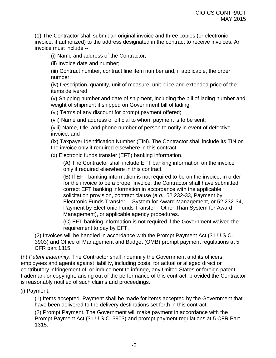(1) The Contractor shall submit an original invoice and three copies (or electronic invoice, if authorized) to the address designated in the contract to receive invoices. An invoice must include --

(i) Name and address of the Contractor;

(ii) Invoice date and number;

(iii) Contract number, contract line item number and, if applicable, the order number;

(iv) Description, quantity, unit of measure, unit price and extended price of the items delivered;

(v) Shipping number and date of shipment, including the bill of lading number and weight of shipment if shipped on Government bill of lading;

(vi) Terms of any discount for prompt payment offered;

(vii) Name and address of official to whom payment is to be sent;

(viii) Name, title, and phone number of person to notify in event of defective invoice; and

(ix) Taxpayer Identification Number (TIN). The Contractor shall include its TIN on the invoice only if required elsewhere in this contract.

(x) Electronic funds transfer (EFT) banking information.

(A) The Contractor shall include EFT banking information on the invoice only if required elsewhere in this contract.

(B) If EFT banking information is not required to be on the invoice, in order for the invoice to be a proper invoice, the Contractor shall have submitted correct EFT banking information in accordance with the applicable solicitation provision, contract clause (*e.g.*, 52.232-33, Payment by Electronic Funds Transfer— System for Award Management, or 52.232-34, Payment by Electronic Funds Transfer—Other Than System for Award Management), or applicable agency procedures.

(C) EFT banking information is not required if the Government waived the requirement to pay by EFT.

(2) Invoices will be handled in accordance with the Prompt Payment Act (31 U.S.C. 3903) and Office of Management and Budget (OMB) prompt payment regulations at 5 CFR part 1315.

(h) *Patent indemnity*. The Contractor shall indemnify the Government and its officers, employees and agents against liability, including costs, for actual or alleged direct or contributory infringement of, or inducement to infringe, any United States or foreign patent, trademark or copyright, arising out of the performance of this contract, provided the Contractor is reasonably notified of such claims and proceedings.

(i) Payment.

(1) Items accepted. Payment shall be made for items accepted by the Government that have been delivered to the delivery destinations set forth in this contract.

(2) Prompt Payment. The Government will make payment in accordance with the Prompt Payment Act (31 U.S.C. 3903) and prompt payment regulations at 5 CFR Part 1315.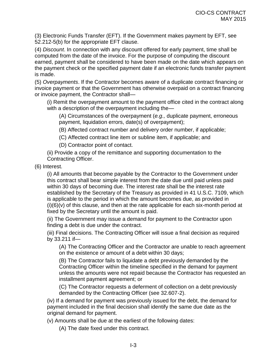(3) Electronic Funds Transfer (EFT). If the Government makes payment by EFT, see 52.212-5(b) for the appropriate EFT clause.

(4) *Discount*. In connection with any discount offered for early payment, time shall be computed from the date of the invoice. For the purpose of computing the discount earned, payment shall be considered to have been made on the date which appears on the payment check or the specified payment date if an electronic funds transfer payment is made.

(5) *Overpayments*. If the Contractor becomes aware of a duplicate contract financing or invoice payment or that the Government has otherwise overpaid on a contract financing or invoice payment, the Contractor shall—

(i) Remit the overpayment amount to the payment office cited in the contract along with a description of the overpayment including the-

(A) Circumstances of the overpayment (*e.g.,* duplicate payment, erroneous payment, liquidation errors, date(s) of overpayment);

(B) Affected contract number and delivery order number, if applicable;

(C) Affected contract line item or subline item, if applicable; and

(D) Contractor point of contact.

(ii) Provide a copy of the remittance and supporting documentation to the Contracting Officer.

(6) Interest.

(i) All amounts that become payable by the Contractor to the Government under this contract shall bear simple interest from the date due until paid unless paid within 30 days of becoming due. The interest rate shall be the interest rate established by the Secretary of the Treasury as provided in 41 U.S.C. 7109, which is applicable to the period in which the amount becomes due, as provided in  $(i)(6)(v)$  of this clause, and then at the rate applicable for each six-month period at fixed by the Secretary until the amount is paid.

(ii) The Government may issue a demand for payment to the Contractor upon finding a debt is due under the contract.

(iii) Final decisions. The Contracting Officer will issue a final decision as required by 33.211 if—

(A) The Contracting Officer and the Contractor are unable to reach agreement on the existence or amount of a debt within 30 days;

(B) The Contractor fails to liquidate a debt previously demanded by the Contracting Officer within the timeline specified in the demand for payment unless the amounts were not repaid because the Contractor has requested an installment payment agreement; or

(C) The Contractor requests a deferment of collection on a debt previously demanded by the Contracting Officer (see 32.607-2).

(iv) If a demand for payment was previously issued for the debt, the demand for payment included in the final decision shall identify the same due date as the original demand for payment.

(v) Amounts shall be due at the earliest of the following dates:

(A) The date fixed under this contract.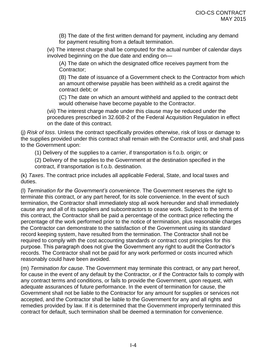(B) The date of the first written demand for payment, including any demand for payment resulting from a default termination.

(vi) The interest charge shall be computed for the actual number of calendar days involved beginning on the due date and ending on—

(A) The date on which the designated office receives payment from the Contractor;

(B) The date of issuance of a Government check to the Contractor from which an amount otherwise payable has been withheld as a credit against the contract debt; or

(C) The date on which an amount withheld and applied to the contract debt would otherwise have become payable to the Contractor.

(vii) The interest charge made under this clause may be reduced under the procedures prescribed in 32.608-2 of the Federal Acquisition Regulation in effect on the date of this contract.

(j) *Risk of loss*. Unless the contract specifically provides otherwise, risk of loss or damage to the supplies provided under this contract shall remain with the Contractor until, and shall pass to the Government upon:

(1) Delivery of the supplies to a carrier, if transportation is f.o.b. origin; or

(2) Delivery of the supplies to the Government at the destination specified in the contract, if transportation is f.o.b. destination.

(k) *Taxes*. The contract price includes all applicable Federal, State, and local taxes and duties.

(l) *Termination for the Government's convenience*. The Government reserves the right to terminate this contract, or any part hereof, for its sole convenience. In the event of such termination, the Contractor shall immediately stop all work hereunder and shall immediately cause any and all of its suppliers and subcontractors to cease work. Subject to the terms of this contract, the Contractor shall be paid a percentage of the contract price reflecting the percentage of the work performed prior to the notice of termination, plus reasonable charges the Contractor can demonstrate to the satisfaction of the Government using its standard record keeping system, have resulted from the termination. The Contractor shall not be required to comply with the cost accounting standards or contract cost principles for this purpose. This paragraph does not give the Government any right to audit the Contractor's records. The Contractor shall not be paid for any work performed or costs incurred which reasonably could have been avoided.

(m) *Termination for cause*. The Government may terminate this contract, or any part hereof, for cause in the event of any default by the Contractor, or if the Contractor fails to comply with any contract terms and conditions, or fails to provide the Government, upon request, with adequate assurances of future performance. In the event of termination for cause, the Government shall not be liable to the Contractor for any amount for supplies or services not accepted, and the Contractor shall be liable to the Government for any and all rights and remedies provided by law. If it is determined that the Government improperly terminated this contract for default, such termination shall be deemed a termination for convenience.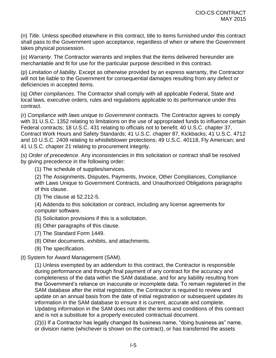(n) *Title*. Unless specified elsewhere in this contract, title to items furnished under this contract shall pass to the Government upon acceptance, regardless of when or where the Government takes physical possession.

(o) *Warranty*. The Contractor warrants and implies that the items delivered hereunder are merchantable and fit for use for the particular purpose described in this contract.

(p) *Limitation of liability*. Except as otherwise provided by an express warranty, the Contractor will not be liable to the Government for consequential damages resulting from any defect or deficiencies in accepted items.

(q) *Other compliances*. The Contractor shall comply with all applicable Federal, State and local laws, executive orders, rules and regulations applicable to its performance under this contract.

(r) *Compliance with laws unique to Government contracts.* The Contractor agrees to comply with 31 U.S.C. 1352 relating to limitations on the use of appropriated funds to influence certain Federal contracts; 18 U.S.C. 431 relating to officials not to benefit; 40 U.S.C. chapter 37, Contract Work Hours and Safety Standards; 41 U.S.C. chapter 87, Kickbacks; 41 U.S.C. 4712 and 10 U.S.C. 2409 relating to whistleblower protections; 49 U.S.C. 40118, Fly American; and 41 U.S.C. chapter 21 relating to procurement integrity.

(s) *Order of precedence*. Any inconsistencies in this solicitation or contract shall be resolved by giving precedence in the following order:

(1) The schedule of supplies/services.

(2) The Assignments, Disputes, Payments, Invoice, Other Compliances, Compliance with Laws Unique to Government Contracts, and Unauthorized Obligations paragraphs of this clause.

(3) The clause at 52.212-5.

(4) Addenda to this solicitation or contract, including any license agreements for computer software.

- (5) Solicitation provisions if this is a solicitation.
- (6) Other paragraphs of this clause.
- (7) The Standard Form 1449.
- (8) Other documents, exhibits, and attachments.
- (9) The specification.

#### (t) System for Award Management (SAM).

(1) Unless exempted by an addendum to this contract, the Contractor is responsible during performance and through final payment of any contract for the accuracy and completeness of the data within the SAM database, and for any liability resulting from the Government's reliance on inaccurate or incomplete data. To remain registered in the SAM database after the initial registration, the Contractor is required to review and update on an annual basis from the date of initial registration or subsequent updates its information in the SAM database to ensure it is current, accurate and complete. Updating information in the SAM does not alter the terms and conditions of this contract and is not a substitute for a properly executed contractual document.

(2)(i) If a Contractor has legally changed its business name, "doing business as" name, or division name (whichever is shown on the contract), or has transferred the assets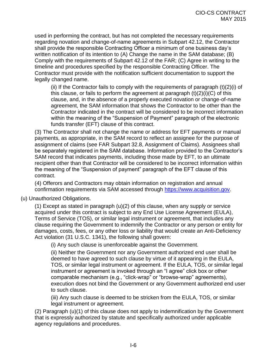used in performing the contract, but has not completed the necessary requirements regarding novation and change-of-name agreements in Subpart 42.12, the Contractor shall provide the responsible Contracting Officer a minimum of one business day's written notification of its intention to (A) Change the name in the SAM database; (B) Comply with the requirements of Subpart 42.12 of the FAR; (C) Agree in writing to the timeline and procedures specified by the responsible Contracting Officer. The Contractor must provide with the notification sufficient documentation to support the legally changed name.

(ii) If the Contractor fails to comply with the requirements of paragraph  $(t)(2)(i)$  of this clause, or fails to perform the agreement at paragraph  $(t)(2)(i)(C)$  of this clause, and, in the absence of a properly executed novation or change-of-name agreement, the SAM information that shows the Contractor to be other than the Contractor indicated in the contract will be considered to be incorrect information within the meaning of the "Suspension of Payment" paragraph of the electronic funds transfer (EFT) clause of this contract.

(3) The Contractor shall not change the name or address for EFT payments or manual payments, as appropriate, in the SAM record to reflect an assignee for the purpose of assignment of claims (see FAR Subpart 32.8, Assignment of Claims). Assignees shall be separately registered in the SAM database. Information provided to the Contractor's SAM record that indicates payments, including those made by EFT, to an ultimate recipient other than that Contractor will be considered to be incorrect information within the meaning of the "Suspension of payment" paragraph of the EFT clause of this contract.

(4) Offerors and Contractors may obtain information on registration and annual confirmation requirements via SAM accessed through [https://www.acquisition.gov.](https://www.acquisition.gov/)

#### (u) Unauthorized Obligations.

(1) Except as stated in paragraph (u)(2) of this clause, when any supply or service acquired under this contract is subject to any End Use License Agreement (EULA), Terms of Service (TOS), or similar legal instrument or agreement, that includes any clause requiring the Government to indemnify the Contractor or any person or entity for damages, costs, fees, or any other loss or liability that would create an Anti-Deficiency Act violation (31 U.S.C. 1341), the following shall govern:

(i) Any such clause is unenforceable against the Government.

(ii) Neither the Government nor any Government authorized end user shall be deemed to have agreed to such clause by virtue of it appearing in the EULA, TOS, or similar legal instrument or agreement. If the EULA, TOS, or similar legal instrument or agreement is invoked through an "I agree" click box or other comparable mechanism (e.g., "click-wrap" or "browse-wrap" agreements), execution does not bind the Government or any Government authorized end user to such clause.

(iii) Any such clause is deemed to be stricken from the EULA, TOS, or similar legal instrument or agreement.

(2) Paragraph (u)(1) of this clause does not apply to indemnification by the Government that is expressly authorized by statute and specifically authorized under applicable agency regulations and procedures.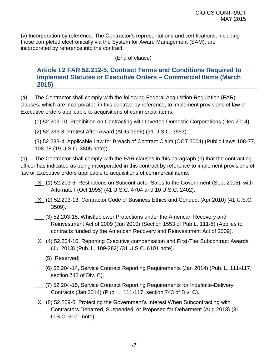(v) Incorporation by reference. The Contractor's representations and certifications, including those completed electronically via the System for Award Management (SAM), are incorporated by reference into the contract.

(End of clause)

# <span id="page-55-0"></span>**Article I.2 FAR 52.212-5, Contract Terms and Conditions Required to Implement Statutes or Executive Orders – Commercial Items (March 2015)**

(a) The Contractor shall comply with the following Federal Acquisition Regulation (FAR) clauses, which are incorporated in this contract by reference, to implement provisions of law or Executive orders applicable to acquisitions of commercial items:

(1) 52.209-10, Prohibition on Contracting with Inverted Domestic Corporations (Dec 2014)

(2) 52.233-3, Protest After Award (AUG 1996) (31 U.S.C. 3553).

(3) 52.233-4, Applicable Law for Breach of Contract Claim (OCT 2004) (Public Laws 108-77, 108-78 (19 U.S.C. 3805 note)).

(b) The Contractor shall comply with the FAR clauses in this paragraph (b) that the contracting officer has indicated as being incorporated in this contract by reference to implement provisions of law or Executive orders applicable to acquisitions of commercial items:

- $X_{-}$  (1) 52.203-6, Restrictions on Subcontractor Sales to the Government (Sept 2006), with Alternate I (Oct 1995) (41 U.S.C. 4704 and 10 U.S.C. 2402).
- $X(2)$  52.203-13, Contractor Code of Business Ethics and Conduct (Apr 2010) (41 U.S.C. 3509).
- \_\_\_ (3) 52.203-15, Whistleblower Protections under the American Recovery and Reinvestment Act of 2009 (Jun 2010) (Section 1553 of Pub L. 111-5) (Applies to contracts funded by the American Recovery and Reinvestment Act of 2009).
- $X(4)$  52.204-10, Reporting Executive compensation and First-Tier Subcontract Awards (Jul 2013) (Pub. L. 109-282) (31 U.S.C. 6101 note).
- $\sqrt{5}$  [Reserved]
- \_\_\_ (6) 52.204-14, Service Contract Reporting Requirements (Jan 2014) (Pub. L. 111-117, section 743 of Div. C).
- \_\_\_ (7) 52.204-15, Service Contract Reporting Requirements for Indefinite-Delivery Contracts (Jan 2014) (Pub. L. 111-117, section 743 of Div. C).
- $X(8)$  52.209-6, Protecting the Government's Interest When Subcontracting with Contractors Debarred, Suspended, or Proposed for Debarment (Aug 2013) (31 U.S.C. 6101 note).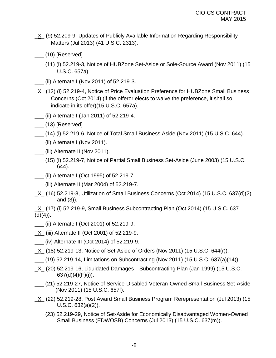- \_X\_ (9) 52.209-9, Updates of Publicly Available Information Regarding Responsibility Matters (Jul 2013) (41 U.S.C. 2313).
- $\sqrt{10}$  [Reserved]
- \_\_\_ (11) (i) 52.219-3, Notice of HUBZone Set-Aside or Sole-Source Award (Nov 2011) (15 U.S.C. 657a).
- \_\_\_ (ii) Alternate I (Nov 2011) of 52.219-3.
- \_X\_ (12) (i) 52.219-4, Notice of Price Evaluation Preference for HUBZone Small Business Concerns (Oct 2014) (if the offeror elects to waive the preference, it shall so indicate in its offer)(15 U.S.C. 657a).
- \_\_\_ (ii) Alternate I (Jan 2011) of 52.219-4.
- \_\_\_ (13) [Reserved]
- \_\_\_ (14) (i) 52.219-6, Notice of Total Small Business Aside (Nov 2011) (15 U.S.C. 644).
- \_\_\_ (ii) Alternate I (Nov 2011).
- \_\_\_ (iii) Alternate II (Nov 2011).
- \_\_\_ (15) (i) 52.219-7, Notice of Partial Small Business Set-Aside (June 2003) (15 U.S.C. 644).
- \_\_\_ (ii) Alternate I (Oct 1995) of 52.219-7.
- \_\_\_ (iii) Alternate II (Mar 2004) of 52.219-7.
- $X(16)$  52.219-8, Utilization of Small Business Concerns (Oct 2014) (15 U.S.C. 637(d)(2) and (3)).
- $X$  (17) (i) 52.219-9, Small Business Subcontracting Plan (Oct 2014) (15 U.S.C. 637  $(d)(4)$ ).
- \_\_\_ (ii) Alternate I (Oct 2001) of 52.219-9.
- \_X\_ (iii) Alternate II (Oct 2001) of 52.219-9.
- \_\_\_ (iv) Alternate III (Oct 2014) of 52.219-9.
- $X(18)$  52.219-13, Notice of Set-Aside of Orders (Nov 2011) (15 U.S.C. 644(r)).
- \_\_\_ (19) 52.219-14, Limitations on Subcontracting (Nov 2011) (15 U.S.C. 637(a)(14)).
- \_X\_ (20) 52.219-16, Liquidated Damages—Subcontracting Plan (Jan 1999) (15 U.S.C.  $637(d)(4)(F)(i)$ .
- \_\_\_ (21) 52.219-27, Notice of Service-Disabled Veteran-Owned Small Business Set-Aside (Nov 2011) (15 U.S.C. 657f).
- \_X\_ (22) 52.219-28, Post Award Small Business Program Rerepresentation (Jul 2013) (15 U.S.C. 632(a)(2)).
- \_\_\_ (23) 52.219-29, Notice of Set-Aside for Economically Disadvantaged Women-Owned Small Business (EDWOSB) Concerns (Jul 2013) (15 U.S.C. 637(m)).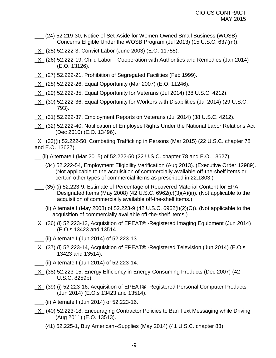- \_\_\_ (24) 52.219-30, Notice of Set-Aside for Women-Owned Small Business (WOSB) Concerns Eligible Under the WOSB Program (Jul 2013) (15 U.S.C. 637(m)).
- \_X\_ (25) 52.222-3, Convict Labor (June 2003) (E.O. 11755).
- \_X\_ (26) 52.222-19, Child Labor—Cooperation with Authorities and Remedies (Jan 2014) (E.O. 13126).
- \_X\_ (27) 52.222-21, Prohibition of Segregated Facilities (Feb 1999).
- $X(28)$  52.222-26, Equal Opportunity (Mar 2007) (E.O. 11246).
- \_X\_ (29) 52.222-35, Equal Opportunity for Veterans (Jul 2014) (38 U.S.C. 4212).
- \_X\_ (30) 52.222-36, Equal Opportunity for Workers with Disabilities (Jul 2014) (29 U.S.C. 793).
- \_X\_ (31) 52.222-37, Employment Reports on Veterans (Jul 2014) (38 U.S.C. 4212).
- \_X\_ (32) 52.222-40, Notification of Employee Rights Under the National Labor Relations Act (Dec 2010) (E.O. 13496).

 $X_{-}$  (33)(i) 52.222-50, Combating Trafficking in Persons (Mar 2015) (22 U.S.C. chapter 78 and E.O. 13627).

- \_\_ (ii) Alternate I (Mar 2015) of 52.222-50 (22 U.S.C. chapter 78 and E.O. 13627).
- \_\_\_ (34) 52.222-54, Employment Eligibility Verification (Aug 2013). (Executive Order 12989). (Not applicable to the acquisition of commercially available off-the-shelf items or certain other types of commercial items as prescribed in 22.1803.)
- \_\_\_ (35) (i) 52.223-9, Estimate of Percentage of Recovered Material Content for EPA- Designated Items (May 2008) (42 U.S.C. 6962(c)(3)(A)(ii)). (Not applicable to the acquisition of commercially available off-the-shelf items.)
- $\_$  (ii) Alternate I (May 2008) of 52.223-9 (42 U.S.C. 6962(i)(2)(C)). (Not applicable to the acquisition of commercially available off-the-shelf items.)
- $X$  (36) (i) 52.223-13, Acquisition of EPEAT<sup>®</sup> -Registered Imaging Equipment (Jun 2014) (E.O.s 13423 and 13514
- \_\_\_ (ii) Alternate I (Jun 2014) of 52.223-13.
- $X$  (37) (i) 52.223-14, Acquisition of EPEAT® -Registered Television (Jun 2014) (E.O.s 13423 and 13514).
- \_\_\_ (ii) Alternate I (Jun 2014) of 52.223-14.
- \_X\_ (38) 52.223-15, Energy Efficiency in Energy-Consuming Products (Dec 2007) (42 U.S.C. 8259b).
- \_X\_ (39) (i) 52.223-16, Acquisition of EPEAT® -Registered Personal Computer Products (Jun 2014) (E.O.s 13423 and 13514).
- \_\_\_ (ii) Alternate I (Jun 2014) of 52.223-16.
- $X$  (40) 52.223-18, Encouraging Contractor Policies to Ban Text Messaging while Driving (Aug 2011) (E.O. 13513).
	- \_\_\_ (41) 52.225-1, Buy American--Supplies (May 2014) (41 U.S.C. chapter 83).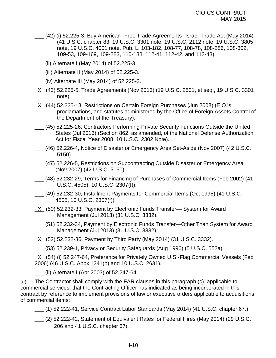- \_\_\_ (42) (i) 52.225-3, Buy American--Free Trade Agreements--Israeli Trade Act (May 2014) (41 U.S.C. chapter 83, 19 U.S.C. 3301 note, 19 U.S.C. 2112 note, 19 U.S.C. 3805 note, 19 U.S.C. 4001 note, Pub. L. 103-182, 108-77, 108-78, 108-286, 108-302, 109-53, 109-169, 109-283, 110-138, 112-41, 112-42, and 112-43).
- \_\_\_ (ii) Alternate I (May 2014) of 52.225-3.
- \_\_\_ (iii) Alternate II (May 2014) of 52.225-3.
- \_\_\_ (iv) Alternate III (May 2014) of 52.225-3.
- \_X\_ (43) 52.225-5, Trade Agreements (Nov 2013) (19 U.S.C. 2501, et seq., 19 U.S.C. 3301 note).
- \_X\_ (44) 52.225-13, Restrictions on Certain Foreign Purchases (Jun 2008) (E.O.'s, proclamations, and statutes administered by the Office of Foreign Assets Control of the Department of the Treasury).
- \_\_\_ (45) 52.225-26, Contractors Performing Private Security Functions Outside the United States (Jul 2013) (Section 862, as amended, of the National Defense Authorization Act for Fiscal Year 2008; 10 U.S.C. 2302 Note).
- \_\_\_ (46) 52.226-4, Notice of Disaster or Emergency Area Set-Aside (Nov 2007) (42 U.S.C. 5150).
- \_\_\_ (47) 52.226-5, Restrictions on Subcontracting Outside Disaster or Emergency Area (Nov 2007) (42 U.S.C. 5150).
- \_\_\_ (48) 52.232-29, Terms for Financing of Purchases of Commercial Items (Feb 2002) (41 U.S.C. 4505), 10 U.S.C. 2307(f)).
- \_\_\_ (49) 52.232-30, Installment Payments for Commercial Items (Oct 1995) (41 U.S.C. 4505, 10 U.S.C. 2307(f)).
- X (50) 52.232-33, Payment by Electronic Funds Transfer— System for Award Management (Jul 2013) (31 U.S.C. 3332).
- \_\_\_ (51) 52.232-34, Payment by Electronic Funds Transfer—Other Than System for Award Management (Jul 2013) (31 U.S.C. 3332).
- $X(52)$  52.232-36, Payment by Third Party (May 2014) (31 U.S.C. 3332).

\_\_\_ (53) 52.239-1, Privacy or Security Safeguards (Aug 1996) (5 U.S.C. 552a).

X (54) (i) 52.247-64, Preference for Privately Owned U.S.-Flag Commercial Vessels (Feb 2006) (46 U.S.C. Appx 1241(b) and 10 U.S.C. 2631).

\_\_\_ (ii) Alternate I (Apr 2003) of 52.247-64.

(c) The Contractor shall comply with the FAR clauses in this paragraph (c), applicable to commercial services, that the Contracting Officer has indicated as being incorporated in this contract by reference to implement provisions of law or executive orders applicable to acquisitions of commercial items:

- \_\_\_ (1) 52.222-41, Service Contract Labor Standards (May 2014) (41 U.S.C. chapter 67*.*).
- \_\_\_ (2) 52.222-42, Statement of Equivalent Rates for Federal Hires (May 2014) (29 U.S.C. 206 and 41 U.S.C. chapter 67).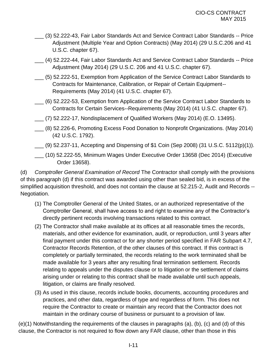- \_\_\_ (3) 52.222-43, Fair Labor Standards Act and Service Contract Labor Standards -- Price Adjustment (Multiple Year and Option Contracts) (May 2014) (29 U.S.C.206 and 41 U.S.C. chapter 67).
- \_\_\_ (4) 52.222-44, Fair Labor Standards Act and Service Contract Labor Standards -- Price Adjustment (May 2014) (29 U.S.C. 206 and 41 U.S.C. chapter 67).
- \_\_\_ (5) 52.222-51, Exemption from Application of the Service Contract Labor Standards to Contracts for Maintenance, Calibration, or Repair of Certain Equipment-- Requirements (May 2014) (41 U.S.C. chapter 67).
- \_\_\_ (6) 52.222-53, Exemption from Application of the Service Contract Labor Standards to Contracts for Certain Services--Requirements (May 2014) (41 U.S.C. chapter 67).
- \_\_\_ (7) 52.222-17, Nondisplacement of Qualified Workers (May 2014) (E.O. 13495).
- \_\_\_ (8) 52.226-6, Promoting Excess Food Donation to Nonprofit Organizations. (May 2014) (42 U.S.C. 1792).
- \_\_\_ (9) 52.237-11, Accepting and Dispensing of \$1 Coin (Sep 2008) (31 U.S.C. 5112(p)(1)).
- \_\_\_ (10) 52.222-55, Minimum Wages Under Executive Order 13658 (Dec 2014) (Executive Order 13658).

(d) *Comptroller General Examination of Record* The Contractor shall comply with the provisions of this paragraph (d) if this contract was awarded using other than sealed bid, is in excess of the simplified acquisition threshold, and does not contain the clause at 52.215-2, Audit and Records -- Negotiation.

- (1) The Comptroller General of the United States, or an authorized representative of the Comptroller General, shall have access to and right to examine any of the Contractor's directly pertinent records involving transactions related to this contract.
- (2) The Contractor shall make available at its offices at all reasonable times the records, materials, and other evidence for examination, audit, or reproduction, until 3 years after final payment under this contract or for any shorter period specified in FAR Subpart 4.7, Contractor Records Retention, of the other clauses of this contract. If this contract is completely or partially terminated, the records relating to the work terminated shall be made available for 3 years after any resulting final termination settlement. Records relating to appeals under the disputes clause or to litigation or the settlement of claims arising under or relating to this contract shall be made available until such appeals, litigation, or claims are finally resolved.
- (3) As used in this clause, records include books, documents, accounting procedures and practices, and other data, regardless of type and regardless of form. This does not require the Contractor to create or maintain any record that the Contractor does not maintain in the ordinary course of business or pursuant to a provision of law.

(e)(1) Notwithstanding the requirements of the clauses in paragraphs (a), (b), (c) and (d) of this clause, the Contractor is not required to flow down any FAR clause, other than those in this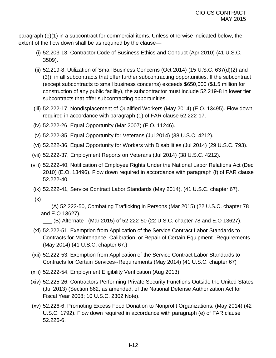paragraph (e)(1) in a subcontract for commercial items. Unless otherwise indicated below, the extent of the flow down shall be as required by the clause—

- (i) 52.203-13, Contractor Code of Business Ethics and Conduct (Apr 2010) (41 U.S.C. 3509).
- (ii) 52.219-8, Utilization of Small Business Concerns (Oct 2014) (15 U.S.C. 637(d)(2) and (3)), in all subcontracts that offer further subcontracting opportunities. If the subcontract (except subcontracts to small business concerns) exceeds \$650,000 (\$1.5 million for construction of any public facility), the subcontractor must include 52.219-8 in lower tier subcontracts that offer subcontracting opportunities.
- (iii) 52.222-17, Nondisplacement of Qualified Workers (May 2014) (E.O. 13495). Flow down required in accordance with paragraph (1) of FAR clause 52.222-17.
- (iv) 52.222-26, Equal Opportunity (Mar 2007) (E.O. 11246).
- (v) 52.222-35, Equal Opportunity for Veterans (Jul 2014) (38 U.S.C. 4212).
- (vi) 52.222-36, Equal Opportunity for Workers with Disabilities (Jul 2014) (29 U.S.C. 793).
- (vii) 52.222-37, Employment Reports on Veterans (Jul 2014) (38 U.S.C. 4212).
- (viii) 52.222-40, Notification of Employee Rights Under the National Labor Relations Act (Dec 2010) (E.O. 13496). Flow down required in accordance with paragraph (f) of FAR clause 52.222-40.
- (ix) 52.222-41, Service Contract Labor Standards (May 2014), (41 U.S.C. chapter 67).
- $(x)$

\_\_\_ (A) 52.222-50, Combating Trafficking in Persons (Mar 2015) (22 U.S.C. chapter 78 and E.O 13627).

\_\_\_ (B) Alternate I (Mar 2015) of 52.222-50 (22 U.S.C. chapter 78 and E.O 13627).

- (xi) 52.222-51, Exemption from Application of the Service Contract Labor Standards to Contracts for Maintenance, Calibration, or Repair of Certain Equipment--Requirements (May 2014) (41 U.S.C. chapter 67.)
- (xii) 52.222-53, Exemption from Application of the Service Contract Labor Standards to Contracts for Certain Services--Requirements (May 2014) (41 U.S.C. chapter 67)
- (xiii) 52.222-54, Employment Eligibility Verification (Aug 2013).
- (xiv) 52.225-26, Contractors Performing Private Security Functions Outside the United States (Jul 2013) (Section 862, as amended, of the National Defense Authorization Act for Fiscal Year 2008; 10 U.S.C. 2302 Note).
- (xv) 52.226-6, Promoting Excess Food Donation to Nonprofit Organizations. (May 2014) (42 U.S.C. 1792). Flow down required in accordance with paragraph (e) of FAR clause 52.226-6.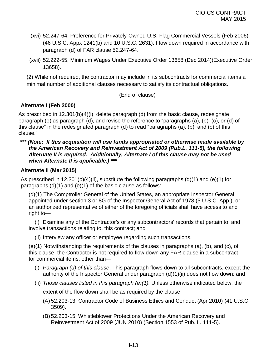- (xvi) 52.247-64, Preference for Privately-Owned U.S. Flag Commercial Vessels (Feb 2006) (46 U.S.C. Appx 1241(b) and 10 U.S.C. 2631). Flow down required in accordance with paragraph (d) of FAR clause 52.247-64.
- (xvii) 52.222-55, Minimum Wages Under Executive Order 13658 (Dec 2014)(Executive Order 13658).

(2) While not required, the contractor may include in its subcontracts for commercial items a minimal number of additional clauses necessary to satisfy its contractual obligations.

(End of clause)

#### **Alternate I (Feb 2000)**

As prescribed in 12.301(b)(4)(i), delete paragraph (d) from the basic clause, redesignate paragraph (e) as paragraph (d), and revise the reference to "paragraphs (a), (b), (c), or (d) of this clause" in the redesignated paragraph (d) to read "paragraphs (a), (b), and (c) of this clause."

#### *\*\*\* (Note: If this acquisition will use funds appropriated or otherwise made available by the American Recovery and Reinvestment Act of 2009 (Pub.L. 111-5), the following Alternate II is required. Additionally, Alternate I of this clause may not be used when Alternate II is applicable.) \*\*\**

#### **Alternate II (Mar 2015)**

As prescribed in 12.301(b)(4)(ii), substitute the following paragraphs (d)(1) and (e)(1) for paragraphs (d)(1) and (e)(1) of the basic clause as follows:

(d)(1) The Comptroller General of the United States, an appropriate Inspector General appointed under section 3 or 8G of the Inspector General Act of 1978 (5 U.S.C. App.), or an authorized representative of either of the foregoing officials shall have access to and right to—

(i) Examine any of the Contractor's or any subcontractors' records that pertain to, and involve transactions relating to, this contract; and

(ii) Interview any officer or employee regarding such transactions.

(e)(1) Notwithstanding the requirements of the clauses in paragraphs (a), (b), and (c), of this clause, the Contractor is not required to flow down any FAR clause in a subcontract for commercial items, other than—

- (i) *Paragraph (d) of this clause*. This paragraph flows down to all subcontracts, except the authority of the Inspector General under paragraph (d)(1)(ii) does not flow down; and
- (ii) *Those clauses listed in this paragraph (e)(1).* Unless otherwise indicated below, the

extent of the flow down shall be as required by the clause—

- (A) 52.203-13, Contractor Code of Business Ethics and Conduct (Apr 2010) (41 U.S.C. 3509).
- (B) 52.203-15, Whistleblower Protections Under the American Recovery and Reinvestment Act of 2009 (JUN 2010) (Section 1553 of Pub. L. 111-5).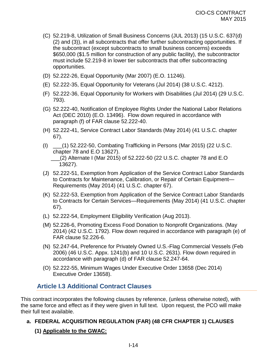- (C) 52.219-8, Utilization of Small Business Concerns (JUL 2013) (15 U.S.C. 637(d) (2) and (3)), in all subcontracts that offer further subcontracting opportunities. If the subcontract (except subcontracts to small business concerns) exceeds \$650,000 (\$1.5 million for construction of any public facility), the subcontractor must include 52.219-8 in lower tier subcontracts that offer subcontracting opportunities.
- (D) 52.222-26, Equal Opportunity (Mar 2007) (E.O. 11246).
- (E) 52.222-35, Equal Opportunity for Veterans (Jul 2014) (38 U.S.C. 4212).
- (F) 52.222-36, Equal Opportunity for Workers with Disabilities (Jul 2014) (29 U.S.C. 793).
- (G) 52.222-40, Notification of Employee Rights Under the National Labor Relations Act (DEC 2010) (E.O. 13496). Flow down required in accordance with paragraph (f) of FAR clause 52.222-40.
- (H) 52.222-41, Service Contract Labor Standards (May 2014) (41 U.S.C. chapter 67).
- (I) \_\_\_(1) 52.222-50, Combating Trafficking in Persons (Mar 2015) (22 U.S.C. chapter 78 and E.O 13627). \_\_\_(2) Alternate I (Mar 2015) of 52.222-50 (22 U.S.C. chapter 78 and E.O 13627).
- (J) 52.222-51, Exemption from Application of the Service Contract Labor Standards to Contracts for Maintenance, Calibration, or Repair of Certain Equipment— Requirements (May 2014) (41 U.S.C. chapter 67).
- (K) 52.222-53, Exemption from Application of the Service Contract Labor Standards to Contracts for Certain Services—Requirements (May 2014) (41 U.S.C. chapter 67).
- (L) 52.222-54, Employment Eligibility Verification (Aug 2013).
- (M) 52.226-6, Promoting Excess Food Donation to Nonprofit Organizations. (May 2014) (42 U.S.C. 1792). Flow down required in accordance with paragraph (e) of FAR clause 52.226-6.
- (N) 52.247-64, Preference for Privately Owned U.S.-Flag Commercial Vessels (Feb 2006) (46 U.S.C. Appx. 1241(b) and 10 U.S.C. 2631). Flow down required in accordance with paragraph (d) of FAR clause 52.247-64.
- (O) 52.222-55, Minimum Wages Under Executive Order 13658 (Dec 2014) Executive Order 13658).

# **Article I.3 Additional Contract Clauses**

<span id="page-62-0"></span>This contract incorporates the following clauses by reference, (unless otherwise noted), with the same force and effect as if they were given in full text. Upon request, the PCO will make their full text available.

#### **a. FEDERAL ACQUISITION REGULATION (FAR) (48 CFR CHAPTER 1) CLAUSES**

#### **(1) Applicable to the GWAC:**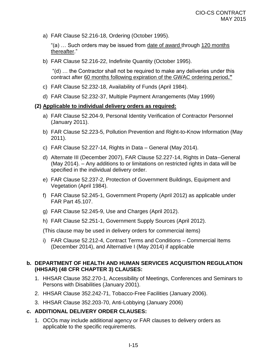a) FAR Clause 52.216-18, Ordering (October 1995).

"(a) … Such orders may be issued from date of award through 120 months thereafter."

b) FAR Clause 52.216-22, Indefinite Quantity (October 1995).

"(d) … the Contractor shall not be required to make any deliveries under this contract after 60 months following expiration of the GWAC ordering period**."**

- c) FAR Clause 52.232-18, Availability of Funds (April 1984).
- d) FAR Clause 52.232-37, Multiple Payment Arrangements (May 1999)

#### **(2) Applicable to individual delivery orders as required:**

- a) FAR Clause 52.204-9, Personal Identity Verification of Contractor Personnel (January 2011).
- b) FAR Clause 52.223-5, Pollution Prevention and Right-to-Know Information (May 2011).
- c) FAR Clause 52.227-14, Rights in Data General (May 2014).
- d) Alternate III (December 2007), FAR Clause 52.227-14, Rights in Data--General (May 2014). – Any additions to or limitations on restricted rights in data will be specified in the individual delivery order.
- e) FAR Clause 52.237-2, Protection of Government Buildings, Equipment and Vegetation (April 1984).
- f) FAR Clause 52.245-1, Government Property (April 2012) as applicable under FAR Part 45.107.
- g) FAR Clause 52.245-9, Use and Charges (April 2012).
- h) FAR Clause 52.251-1, Government Supply Sources (April 2012).

(This clause may be used in delivery orders for commercial items)

i) FAR Clause 52.212-4, Contract Terms and Conditions – Commercial Items (December 2014), and Alternative I (May 2014) if applicable

#### **b. DEPARTMENT OF HEALTH AND HUMAN SERVICES ACQUISITION REGULATION (HHSAR) (48 CFR CHAPTER 3) CLAUSES:**

- 1. HHSAR Clause 352.270-1, Accessibility of Meetings, Conferences and Seminars to Persons with Disabilities (January 2001).
- 2. HHSAR Clause 352.242-71, Tobacco-Free Facilities (January 2006).
- 3. HHSAR Clause 352.203-70, Anti-Lobbying (January 2006)

#### **c. ADDITIONAL DELIVERY ORDER CLAUSES:**

1. OCOs may include additional agency or FAR clauses to delivery orders as applicable to the specific requirements.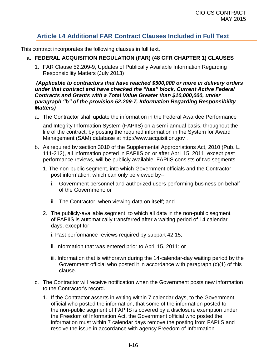# **Article I.4 Additional FAR Contract Clauses Included in Full Text**

<span id="page-64-0"></span>This contract incorporates the following clauses in full text.

#### **a. FEDERAL ACQUISITION REGULATION (FAR) (48 CFR CHAPTER 1) CLAUSES**

1. FAR Clause 52.209-9, Updates of Publically Available Information Regarding Responsibility Matters (July 2013)

*(Applicable to contractors that have reached \$500,000 or more in delivery orders under that contract and have checked the "has" block, Current Active Federal Contracts and Grants with a Total Value Greater than \$10,000,000, under paragraph "b" of the provision 52.209-7, Information Regarding Responsibility Matters)*

a. The Contractor shall update the information in the Federal Awardee Performance

and Integrity Information System (FAPIIS) on a semi-annual basis, throughout the life of the contract, by posting the required information in the System for Award Management (SAM) database at http://www.acquisition.gov .

- b. As required by section 3010 of the Supplemental Appropriations Act, 2010 (Pub. L. 111-212), all information posted in FAPIIS on or after April 15, 2011, except past performance reviews, will be publicly available. FAPIIS consists of two segments--
	- 1. The non-public segment, into which Government officials and the Contractor post information, which can only be viewed by-
		- i. Government personnel and authorized users performing business on behalf of the Government; or
		- ii. The Contractor, when viewing data on itself; and
	- 2. The publicly-available segment, to which all data in the non-public segment of FAPIIS is automatically transferred after a waiting period of 14 calendar days, except for-
		- i. Past performance reviews required by subpart 42.15;
		- ii. Information that was entered prior to April 15, 2011; or
		- iii. Information that is withdrawn during the 14-calendar-day waiting period by the Government official who posted it in accordance with paragraph (c)(1) of this clause.
- c. The Contractor will receive notification when the Government posts new information to the Contractor's record.
	- 1. If the Contractor asserts in writing within 7 calendar days, to the Government official who posted the information, that some of the information posted to the non-public segment of FAPIIS is covered by a disclosure exemption under the Freedom of Information Act, the Government official who posted the information must within 7 calendar days remove the posting from FAPIIS and resolve the issue in accordance with agency Freedom of Information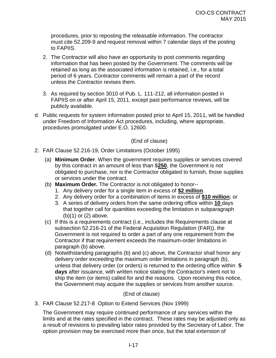procedures, prior to reposting the releasable information. The contractor must cite 52.209-9 and request removal within 7 calendar days of the posting to FAPIIS.

- 2. The Contractor will also have an opportunity to post comments regarding information that has been posted by the Government. The comments will be retained as long as the associated information is retained, i.e., for a total period of 6 years. Contractor comments will remain a part of the record unless the Contractor revises them.
- 3. As required by section 3010 of Pub. L. 111-212, all information posted in FAPIIS on or after April 15, 2011, except past performance reviews, will be publicly available.
- d. Public requests for system information posted prior to April 15, 2011, will be handled under Freedom of Information Act procedures, including, where appropriate, procedures promulgated under E.O. 12600.

(End of clause)

- 2. FAR Clause 52.216-19, Order Limitations (October 1995)
	- (a) **Minimum Order**. When the government requires supplies or services covered by this contract in an amount of less than \$**250**, the Government is not obligated to purchase, nor is the Contractor obligated to furnish, those supplies or services under the contract.
	- (b) **Maximum Order.** The Contractor is not obligated to honor--
		- 1. Any delivery order for a single item in excess of **\$2 million**.
		- 2. Any delivery order for a combination of items in excess of **\$10 million**; or
		- 3. A series of delivery orders from the same ordering office within **10** days that together call for quantities exceeding the limitation in subparagraph (b)(1) or (2) above.
	- (c) If this is a requirements contract (i.e., includes the Requirements clause at subsection 52.216-21 of the Federal Acquisition Regulation (FAR)), the Government is not required to order a part of any one requirement from the Contractor if that requirement exceeds the maximum-order limitations in paragraph (b) above.
	- (d) Notwithstanding paragraphs (b) and (c) above, the Contractor shall honor any delivery order exceeding the maximum order limitations in paragraph (b), unless that delivery order (or orders) is returned to the ordering office within **5 days** after issuance, with written notice stating the Contractor's intent not to ship the item (or items) called for and the reasons. Upon receiving this notice, the Government may acquire the supplies or services from another source.

(End of clause)

3. FAR Clause 52.217-8 Option to Extend Services (Nov 1999)

The Government may require continued performance of any services within the limits and at the rates specified in the contract. These rates may be adjusted only as a result of revisions to prevailing labor rates provided by the Secretary of Labor. The option provision may be exercised more than once, but the total extension of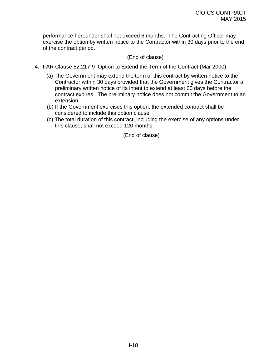performance hereunder shall not exceed 6 months. The Contracting Officer may exercise the option by written notice to the Contractor within 30 days prior to the end of the contract period.

(End of clause)

- 4. FAR Clause 52.217-9 Option to Extend the Term of the Contract (Mar 2000)
	- (a) The Government may extend the term of this contract by written notice to the Contractor within 30 days provided that the Government gives the Contractor a preliminary written notice of its intent to extend at least 60 days before the contract expires. The preliminary notice does not commit the Government to an extension.
	- (b) If the Government exercises this option, the extended contract shall be considered to include this option clause.
	- (c) The total duration of this contract, including the exercise of any options under this clause, shall not exceed 120 months.

(End of clause)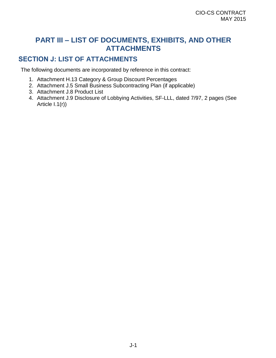# **PART III – LIST OF DOCUMENTS, EXHIBITS, AND OTHER ATTACHMENTS**

# <span id="page-67-0"></span>**SECTION J: LIST OF ATTACHMENTS**

The following documents are incorporated by reference in this contract:

- 1. Attachment H.13 Category & Group Discount Percentages
- 2. Attachment J.5 Small Business Subcontracting Plan (if applicable)
- 3. Attachment J.8 Product List
- 4. Attachment J.9 Disclosure of Lobbying Activities, SF-LLL, dated 7/97, 2 pages (See Article I.1(r))